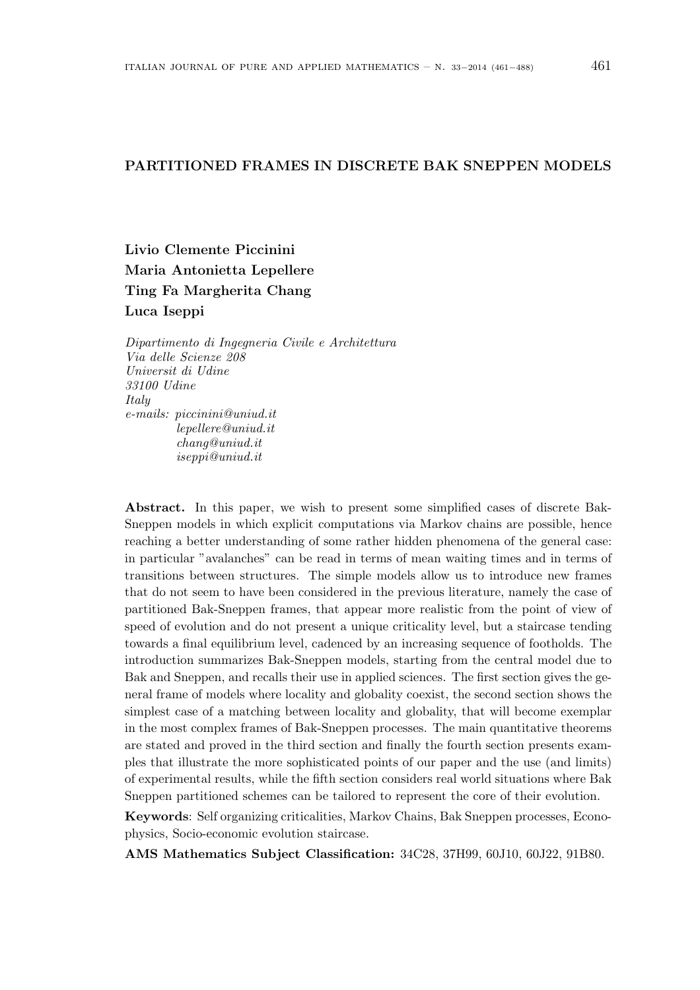# PARTITIONED FRAMES IN DISCRETE BAK SNEPPEN MODELS

Livio Clemente Piccinini Maria Antonietta Lepellere Ting Fa Margherita Chang Luca Iseppi

Dipartimento di Ingegneria Civile e Architettura Via delle Scienze 208 Universit di Udine 33100 Udine Italy e-mails: piccinini@uniud.it lepellere@uniud.it chang@uniud.it iseppi@uniud.it

Abstract. In this paper, we wish to present some simplified cases of discrete Bak-Sneppen models in which explicit computations via Markov chains are possible, hence reaching a better understanding of some rather hidden phenomena of the general case: in particular "avalanches" can be read in terms of mean waiting times and in terms of transitions between structures. The simple models allow us to introduce new frames that do not seem to have been considered in the previous literature, namely the case of partitioned Bak-Sneppen frames, that appear more realistic from the point of view of speed of evolution and do not present a unique criticality level, but a staircase tending towards a final equilibrium level, cadenced by an increasing sequence of footholds. The introduction summarizes Bak-Sneppen models, starting from the central model due to Bak and Sneppen, and recalls their use in applied sciences. The first section gives the general frame of models where locality and globality coexist, the second section shows the simplest case of a matching between locality and globality, that will become exemplar in the most complex frames of Bak-Sneppen processes. The main quantitative theorems are stated and proved in the third section and finally the fourth section presents examples that illustrate the more sophisticated points of our paper and the use (and limits) of experimental results, while the fifth section considers real world situations where Bak Sneppen partitioned schemes can be tailored to represent the core of their evolution.

Keywords: Self organizing criticalities, Markov Chains, Bak Sneppen processes, Econophysics, Socio-economic evolution staircase.

AMS Mathematics Subject Classification: 34C28, 37H99, 60J10, 60J22, 91B80.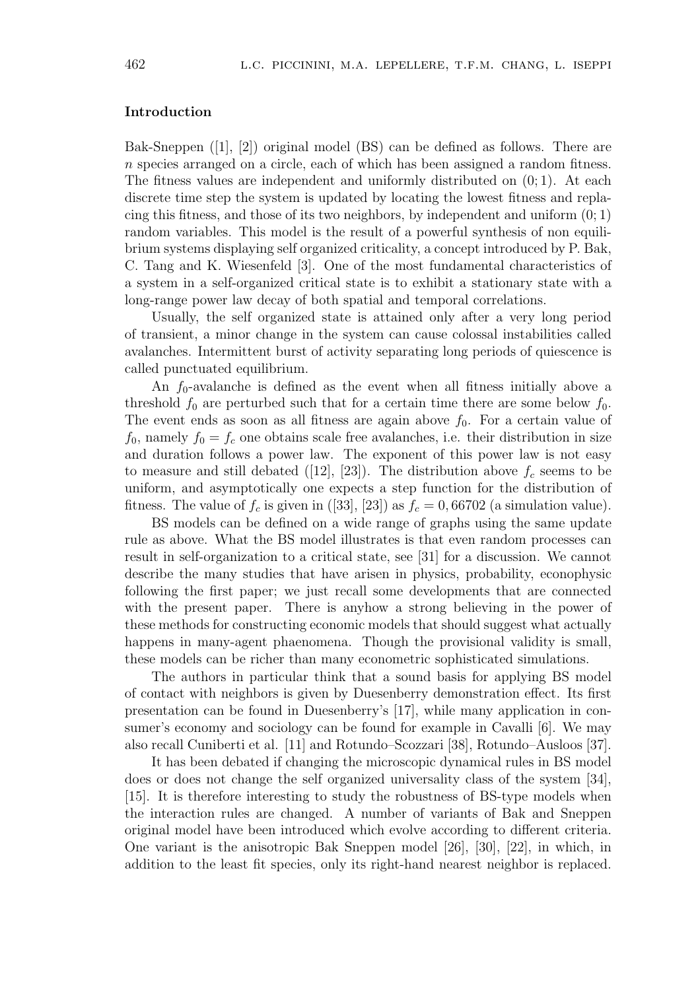# Introduction

Bak-Sneppen ([1], [2]) original model (BS) can be defined as follows. There are n species arranged on a circle, each of which has been assigned a random fitness. The fitness values are independent and uniformly distributed on (0; 1). At each discrete time step the system is updated by locating the lowest fitness and replacing this fitness, and those of its two neighbors, by independent and uniform  $(0; 1)$ random variables. This model is the result of a powerful synthesis of non equilibrium systems displaying self organized criticality, a concept introduced by P. Bak, C. Tang and K. Wiesenfeld [3]. One of the most fundamental characteristics of a system in a self-organized critical state is to exhibit a stationary state with a long-range power law decay of both spatial and temporal correlations.

Usually, the self organized state is attained only after a very long period of transient, a minor change in the system can cause colossal instabilities called avalanches. Intermittent burst of activity separating long periods of quiescence is called punctuated equilibrium.

An  $f_0$ -avalanche is defined as the event when all fitness initially above a threshold  $f_0$  are perturbed such that for a certain time there are some below  $f_0$ . The event ends as soon as all fitness are again above  $f_0$ . For a certain value of  $f_0$ , namely  $f_0 = f_c$  one obtains scale free avalanches, i.e. their distribution in size and duration follows a power law. The exponent of this power law is not easy to measure and still debated ([12], [23]). The distribution above  $f_c$  seems to be uniform, and asymptotically one expects a step function for the distribution of fitness. The value of  $f_c$  is given in ([33], [23]) as  $f_c = 0,66702$  (a simulation value).

BS models can be defined on a wide range of graphs using the same update rule as above. What the BS model illustrates is that even random processes can result in self-organization to a critical state, see [31] for a discussion. We cannot describe the many studies that have arisen in physics, probability, econophysic following the first paper; we just recall some developments that are connected with the present paper. There is anyhow a strong believing in the power of these methods for constructing economic models that should suggest what actually happens in many-agent phaenomena. Though the provisional validity is small, these models can be richer than many econometric sophisticated simulations.

The authors in particular think that a sound basis for applying BS model of contact with neighbors is given by Duesenberry demonstration effect. Its first presentation can be found in Duesenberry's [17], while many application in consumer's economy and sociology can be found for example in Cavalli [6]. We may also recall Cuniberti et al. [11] and Rotundo–Scozzari [38], Rotundo–Ausloos [37].

It has been debated if changing the microscopic dynamical rules in BS model does or does not change the self organized universality class of the system [34], [15]. It is therefore interesting to study the robustness of BS-type models when the interaction rules are changed. A number of variants of Bak and Sneppen original model have been introduced which evolve according to different criteria. One variant is the anisotropic Bak Sneppen model [26], [30], [22], in which, in addition to the least fit species, only its right-hand nearest neighbor is replaced.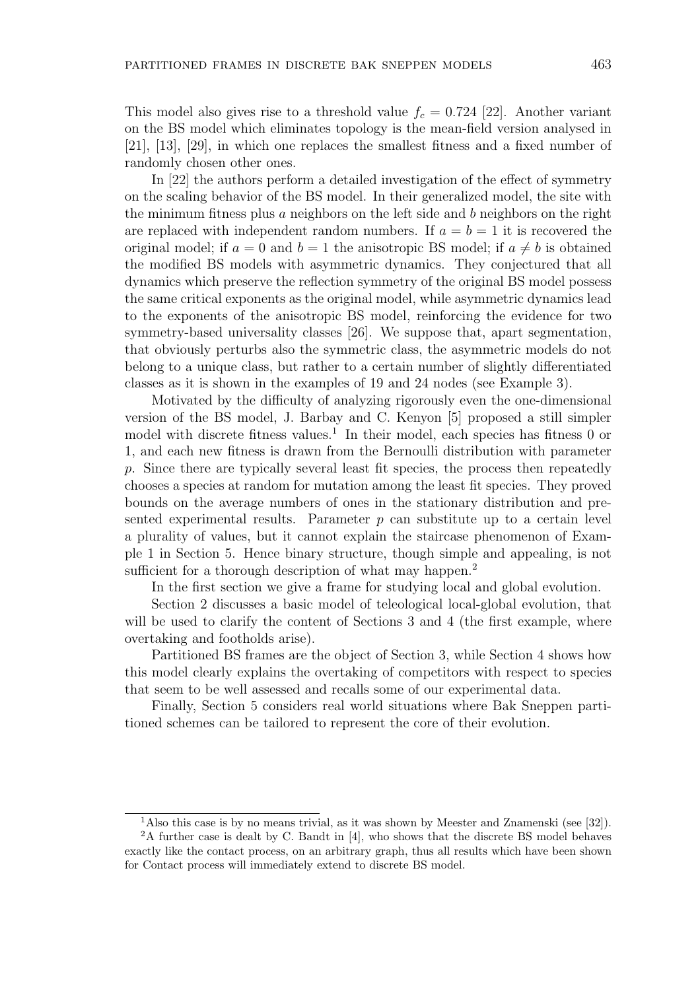This model also gives rise to a threshold value  $f_c = 0.724$  [22]. Another variant on the BS model which eliminates topology is the mean-field version analysed in [21], [13], [29], in which one replaces the smallest fitness and a fixed number of randomly chosen other ones.

In [22] the authors perform a detailed investigation of the effect of symmetry on the scaling behavior of the BS model. In their generalized model, the site with the minimum fitness plus a neighbors on the left side and  $b$  neighbors on the right are replaced with independent random numbers. If  $a = b = 1$  it is recovered the original model; if  $a = 0$  and  $b = 1$  the anisotropic BS model; if  $a \neq b$  is obtained the modified BS models with asymmetric dynamics. They conjectured that all dynamics which preserve the reflection symmetry of the original BS model possess the same critical exponents as the original model, while asymmetric dynamics lead to the exponents of the anisotropic BS model, reinforcing the evidence for two symmetry-based universality classes [26]. We suppose that, apart segmentation, that obviously perturbs also the symmetric class, the asymmetric models do not belong to a unique class, but rather to a certain number of slightly differentiated classes as it is shown in the examples of 19 and 24 nodes (see Example 3).

Motivated by the difficulty of analyzing rigorously even the one-dimensional version of the BS model, J. Barbay and C. Kenyon [5] proposed a still simpler model with discrete fitness values.<sup>1</sup> In their model, each species has fitness 0 or 1, and each new fitness is drawn from the Bernoulli distribution with parameter p. Since there are typically several least fit species, the process then repeatedly chooses a species at random for mutation among the least fit species. They proved bounds on the average numbers of ones in the stationary distribution and presented experimental results. Parameter  $p$  can substitute up to a certain level a plurality of values, but it cannot explain the staircase phenomenon of Example 1 in Section 5. Hence binary structure, though simple and appealing, is not sufficient for a thorough description of what may happen.<sup>2</sup>

In the first section we give a frame for studying local and global evolution.

Section 2 discusses a basic model of teleological local-global evolution, that will be used to clarify the content of Sections 3 and 4 (the first example, where overtaking and footholds arise).

Partitioned BS frames are the object of Section 3, while Section 4 shows how this model clearly explains the overtaking of competitors with respect to species that seem to be well assessed and recalls some of our experimental data.

Finally, Section 5 considers real world situations where Bak Sneppen partitioned schemes can be tailored to represent the core of their evolution.

<sup>1</sup>Also this case is by no means trivial, as it was shown by Meester and Znamenski (see [32]).

<sup>2</sup>A further case is dealt by C. Bandt in [4], who shows that the discrete BS model behaves exactly like the contact process, on an arbitrary graph, thus all results which have been shown for Contact process will immediately extend to discrete BS model.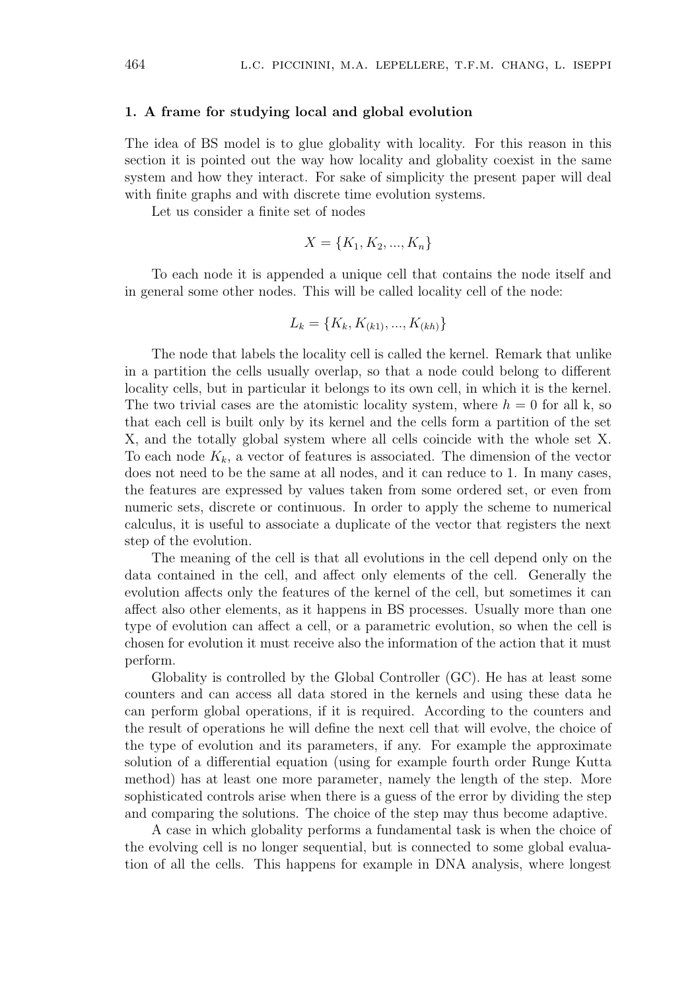### 1. A frame for studying local and global evolution

The idea of BS model is to glue globality with locality. For this reason in this section it is pointed out the way how locality and globality coexist in the same system and how they interact. For sake of simplicity the present paper will deal with finite graphs and with discrete time evolution systems.

Let us consider a finite set of nodes

$$
X = \{K_1, K_2, ..., K_n\}
$$

To each node it is appended a unique cell that contains the node itself and in general some other nodes. This will be called locality cell of the node:

$$
L_k = \{K_k, K_{(k1)}, ..., K_{(kh)}\}
$$

The node that labels the locality cell is called the kernel. Remark that unlike in a partition the cells usually overlap, so that a node could belong to different locality cells, but in particular it belongs to its own cell, in which it is the kernel. The two trivial cases are the atomistic locality system, where  $h = 0$  for all k, so that each cell is built only by its kernel and the cells form a partition of the set X, and the totally global system where all cells coincide with the whole set X. To each node  $K_k$ , a vector of features is associated. The dimension of the vector does not need to be the same at all nodes, and it can reduce to 1. In many cases, the features are expressed by values taken from some ordered set, or even from numeric sets, discrete or continuous. In order to apply the scheme to numerical calculus, it is useful to associate a duplicate of the vector that registers the next step of the evolution.

The meaning of the cell is that all evolutions in the cell depend only on the data contained in the cell, and affect only elements of the cell. Generally the evolution affects only the features of the kernel of the cell, but sometimes it can affect also other elements, as it happens in BS processes. Usually more than one type of evolution can affect a cell, or a parametric evolution, so when the cell is chosen for evolution it must receive also the information of the action that it must perform.

Globality is controlled by the Global Controller (GC). He has at least some counters and can access all data stored in the kernels and using these data he can perform global operations, if it is required. According to the counters and the result of operations he will define the next cell that will evolve, the choice of the type of evolution and its parameters, if any. For example the approximate solution of a differential equation (using for example fourth order Runge Kutta method) has at least one more parameter, namely the length of the step. More sophisticated controls arise when there is a guess of the error by dividing the step and comparing the solutions. The choice of the step may thus become adaptive.

A case in which globality performs a fundamental task is when the choice of the evolving cell is no longer sequential, but is connected to some global evaluation of all the cells. This happens for example in DNA analysis, where longest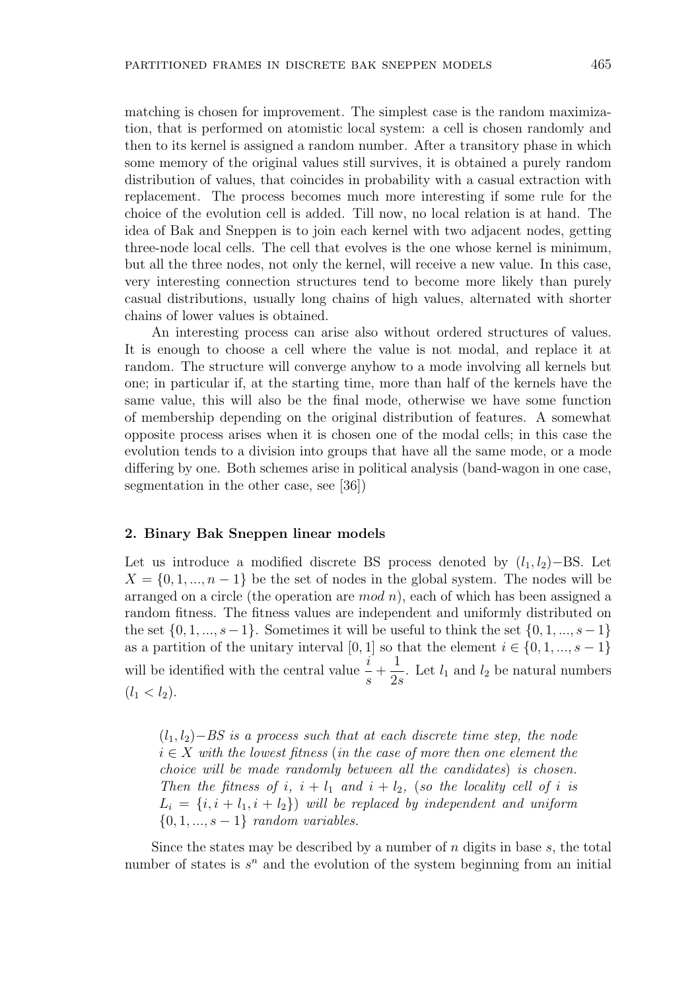matching is chosen for improvement. The simplest case is the random maximization, that is performed on atomistic local system: a cell is chosen randomly and then to its kernel is assigned a random number. After a transitory phase in which some memory of the original values still survives, it is obtained a purely random distribution of values, that coincides in probability with a casual extraction with replacement. The process becomes much more interesting if some rule for the choice of the evolution cell is added. Till now, no local relation is at hand. The idea of Bak and Sneppen is to join each kernel with two adjacent nodes, getting three-node local cells. The cell that evolves is the one whose kernel is minimum, but all the three nodes, not only the kernel, will receive a new value. In this case, very interesting connection structures tend to become more likely than purely casual distributions, usually long chains of high values, alternated with shorter chains of lower values is obtained.

An interesting process can arise also without ordered structures of values. It is enough to choose a cell where the value is not modal, and replace it at random. The structure will converge anyhow to a mode involving all kernels but one; in particular if, at the starting time, more than half of the kernels have the same value, this will also be the final mode, otherwise we have some function of membership depending on the original distribution of features. A somewhat opposite process arises when it is chosen one of the modal cells; in this case the evolution tends to a division into groups that have all the same mode, or a mode differing by one. Both schemes arise in political analysis (band-wagon in one case, segmentation in the other case, see [36])

### 2. Binary Bak Sneppen linear models

Let us introduce a modified discrete BS process denoted by  $(l_1, l_2)$ –BS. Let  $X = \{0, 1, ..., n-1\}$  be the set of nodes in the global system. The nodes will be arranged on a circle (the operation are  $mod n$ ), each of which has been assigned a random fitness. The fitness values are independent and uniformly distributed on the set  $\{0, 1, ..., s-1\}$ . Sometimes it will be useful to think the set  $\{0, 1, ..., s-1\}$ as a partition of the unitary interval [0, 1] so that the element  $i \in \{0, 1, ..., s - 1\}$ will be identified with the central value  $\frac{i}{t}$ s  $+$ 1  $\frac{1}{2s}$ . Let  $l_1$  and  $l_2$  be natural numbers  $(l_1 < l_2).$ 

 $(l_1, l_2)$ −BS is a process such that at each discrete time step, the node  $i \in X$  with the lowest fitness (in the case of more then one element the choice will be made randomly between all the candidates) is chosen. Then the fitness of i,  $i + l_1$  and  $i + l_2$ , (so the locality cell of i is  $L_i = \{i, i + l_1, i + l_2\}$  will be replaced by independent and uniform  $\{0, 1, ..., s-1\}$  random variables.

Since the states may be described by a number of n digits in base  $s$ , the total number of states is  $s^n$  and the evolution of the system beginning from an initial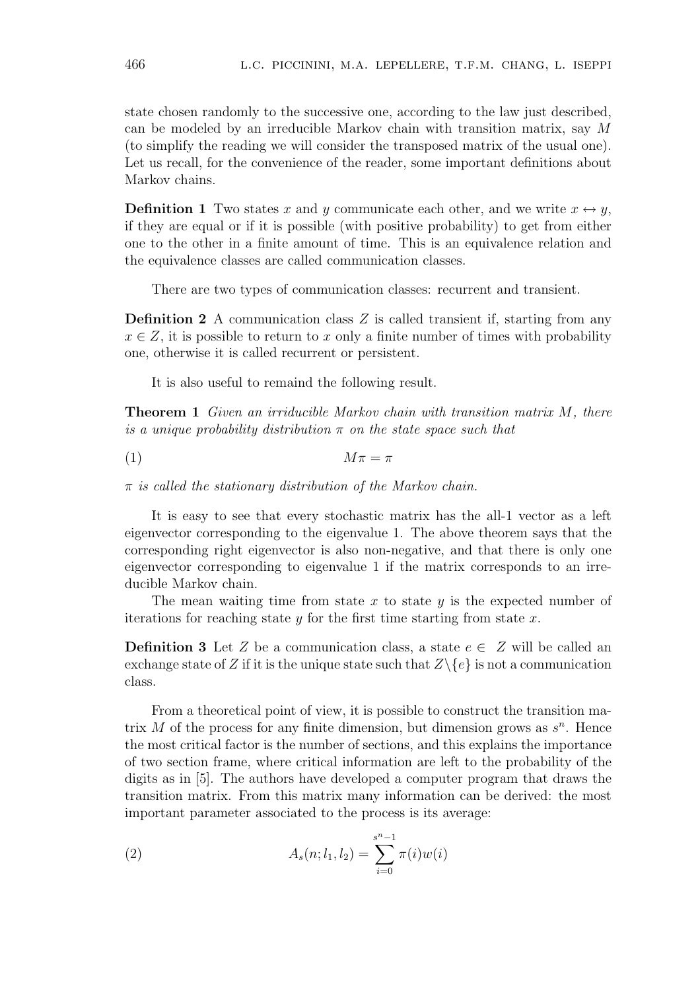state chosen randomly to the successive one, according to the law just described, can be modeled by an irreducible Markov chain with transition matrix, say M (to simplify the reading we will consider the transposed matrix of the usual one). Let us recall, for the convenience of the reader, some important definitions about Markov chains.

**Definition 1** Two states x and y communicate each other, and we write  $x \leftrightarrow y$ , if they are equal or if it is possible (with positive probability) to get from either one to the other in a finite amount of time. This is an equivalence relation and the equivalence classes are called communication classes.

There are two types of communication classes: recurrent and transient.

Definition 2 A communication class Z is called transient if, starting from any  $x \in Z$ , it is possible to return to x only a finite number of times with probability one, otherwise it is called recurrent or persistent.

It is also useful to remaind the following result.

**Theorem 1** Given an irriducible Markov chain with transition matrix M, there is a unique probability distribution  $\pi$  on the state space such that

$$
(1) \t\t\t M\pi = \pi
$$

 $\pi$  is called the stationary distribution of the Markov chain.

It is easy to see that every stochastic matrix has the all-1 vector as a left eigenvector corresponding to the eigenvalue 1. The above theorem says that the corresponding right eigenvector is also non-negative, and that there is only one eigenvector corresponding to eigenvalue 1 if the matrix corresponds to an irreducible Markov chain.

The mean waiting time from state x to state y is the expected number of iterations for reaching state y for the first time starting from state  $x$ .

**Definition 3** Let Z be a communication class, a state  $e \in Z$  will be called an exchange state of Z if it is the unique state such that  $Z\backslash\{e\}$  is not a communication class.

From a theoretical point of view, it is possible to construct the transition matrix M of the process for any finite dimension, but dimension grows as  $s<sup>n</sup>$ . Hence the most critical factor is the number of sections, and this explains the importance of two section frame, where critical information are left to the probability of the digits as in [5]. The authors have developed a computer program that draws the transition matrix. From this matrix many information can be derived: the most important parameter associated to the process is its average:

(2) 
$$
A_s(n; l_1, l_2) = \sum_{i=0}^{s^n - 1} \pi(i) w(i)
$$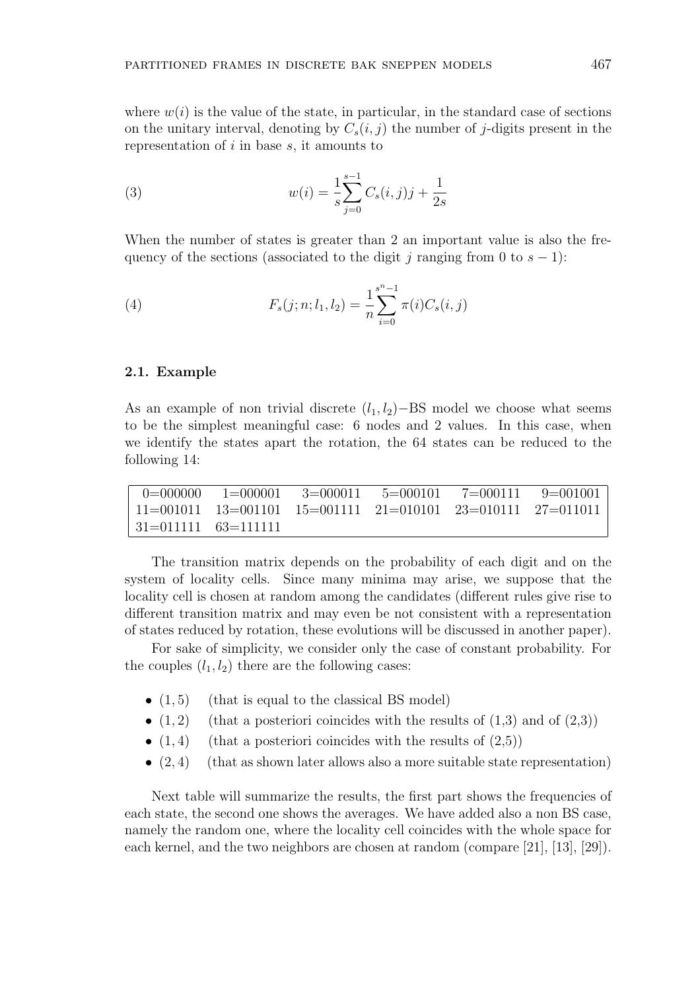where  $w(i)$  is the value of the state, in particular, in the standard case of sections on the unitary interval, denoting by  $C_s(i, j)$  the number of j-digits present in the representation of  $i$  in base  $s$ , it amounts to

(3) 
$$
w(i) = \frac{1}{s} \sum_{j=0}^{s-1} C_s(i,j)j + \frac{1}{2s}
$$

When the number of states is greater than 2 an important value is also the frequency of the sections (associated to the digit j ranging from 0 to  $s - 1$ ):

(4) 
$$
F_s(j; n; l_1, l_2) = \frac{1}{n} \sum_{i=0}^{s^n - 1} \pi(i) C_s(i, j)
$$

# 2.1. Example

As an example of non trivial discrete  $(l_1, l_2)$ –BS model we choose what seems to be the simplest meaningful case: 6 nodes and 2 values. In this case, when we identify the states apart the rotation, the 64 states can be reduced to the following 14:

|                                   | $-0 = 000000$ $1 = 000001$ $3 = 000011$ $5 = 000101$ $7 = 000111$ $9 = 001001$                               |  |  |
|-----------------------------------|--------------------------------------------------------------------------------------------------------------|--|--|
|                                   | $\mid 11 = 001011 \quad 13 = 001101 \quad 15 = 001111 \quad 21 = 010101 \quad 23 = 010111 \quad 27 = 011011$ |  |  |
| $\mid 31 = 0111111$ $63 = 111111$ |                                                                                                              |  |  |

The transition matrix depends on the probability of each digit and on the system of locality cells. Since many minima may arise, we suppose that the locality cell is chosen at random among the candidates (different rules give rise to different transition matrix and may even be not consistent with a representation of states reduced by rotation, these evolutions will be discussed in another paper).

For sake of simplicity, we consider only the case of constant probability. For the couples  $(l_1, l_2)$  there are the following cases:

- $\bullet$   $(1, 5)$  (that is equal to the classical BS model)
- $(1, 2)$  (that a posteriori coincides with the results of  $(1,3)$  and of  $(2,3)$ )
- $(1, 4)$  (that a posteriori coincides with the results of  $(2,5)$ )
- $(2, 4)$  (that as shown later allows also a more suitable state representation)

Next table will summarize the results, the first part shows the frequencies of each state, the second one shows the averages. We have added also a non BS case, namely the random one, where the locality cell coincides with the whole space for each kernel, and the two neighbors are chosen at random (compare [21], [13], [29]).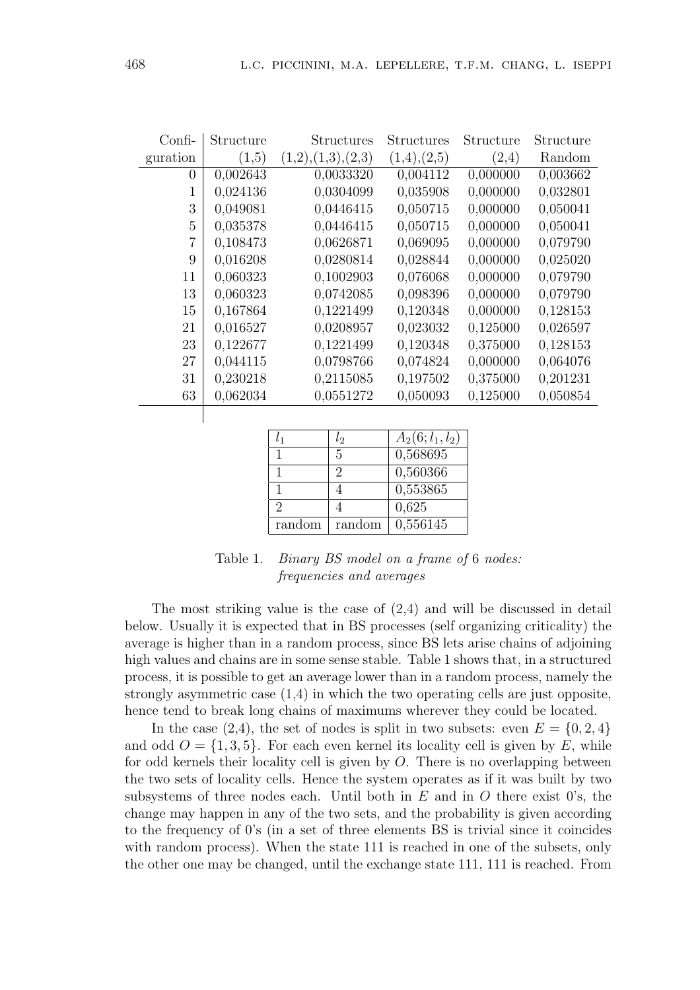| $Confi$ -      | Structure | <b>Structures</b>   | <b>Structures</b> | Structure | Structure |
|----------------|-----------|---------------------|-------------------|-----------|-----------|
| guration       | (1,5)     | (1,2), (1,3), (2,3) | (1,4),(2,5)       | (2,4)     | Random    |
| $\overline{0}$ | 0,002643  | 0,0033320           | 0,004112          | 0,000000  | 0,003662  |
| 1              | 0,024136  | 0,0304099           | 0,035908          | 0,000000  | 0,032801  |
| 3              | 0,049081  | 0,0446415           | 0,050715          | 0,000000  | 0,050041  |
| 5              | 0,035378  | 0,0446415           | 0,050715          | 0,000000  | 0,050041  |
| $\overline{7}$ | 0,108473  | 0,0626871           | 0,069095          | 0,000000  | 0,079790  |
| 9              | 0,016208  | 0,0280814           | 0,028844          | 0,000000  | 0,025020  |
| 11             | 0,060323  | 0,1002903           | 0,076068          | 0,000000  | 0,079790  |
| 13             | 0,060323  | 0,0742085           | 0,098396          | 0,000000  | 0,079790  |
| 15             | 0,167864  | 0,1221499           | 0,120348          | 0,000000  | 0,128153  |
| 21             | 0,016527  | 0,0208957           | 0,023032          | 0,125000  | 0,026597  |
| 23             | 0,122677  | 0,1221499           | 0,120348          | 0,375000  | 0,128153  |
| 27             | 0,044115  | 0,0798766           | 0,074824          | 0,000000  | 0,064076  |
| 31             | 0,230218  | 0,2115085           | 0,197502          | 0,375000  | 0,201231  |
| 63             | 0,062034  | 0,0551272           | 0,050093          | 0,125000  | 0,050854  |
|                |           |                     |                   |           |           |

| l1            | l2     | $A_2(6; l_1, l_2)$ |
|---------------|--------|--------------------|
|               | 5      | 0,568695           |
|               | 9      | 0,560366           |
|               |        | 0,553865           |
| $\mathcal{D}$ |        | 0,625              |
| random        | random | 0,556145           |

| Table 1. <i>Binary BS model on a frame of 6 nodes:</i> |
|--------------------------------------------------------|
| <i>frequencies and averages</i>                        |

The most striking value is the case of (2,4) and will be discussed in detail below. Usually it is expected that in BS processes (self organizing criticality) the average is higher than in a random process, since BS lets arise chains of adjoining high values and chains are in some sense stable. Table 1 shows that, in a structured process, it is possible to get an average lower than in a random process, namely the strongly asymmetric case (1,4) in which the two operating cells are just opposite, hence tend to break long chains of maximums wherever they could be located.

In the case (2,4), the set of nodes is split in two subsets: even  $E = \{0, 2, 4\}$ and odd  $O = \{1, 3, 5\}$ . For each even kernel its locality cell is given by E, while for odd kernels their locality cell is given by O. There is no overlapping between the two sets of locality cells. Hence the system operates as if it was built by two subsystems of three nodes each. Until both in  $E$  and in  $O$  there exist 0's, the change may happen in any of the two sets, and the probability is given according to the frequency of 0's (in a set of three elements BS is trivial since it coincides with random process). When the state 111 is reached in one of the subsets, only the other one may be changed, until the exchange state 111, 111 is reached. From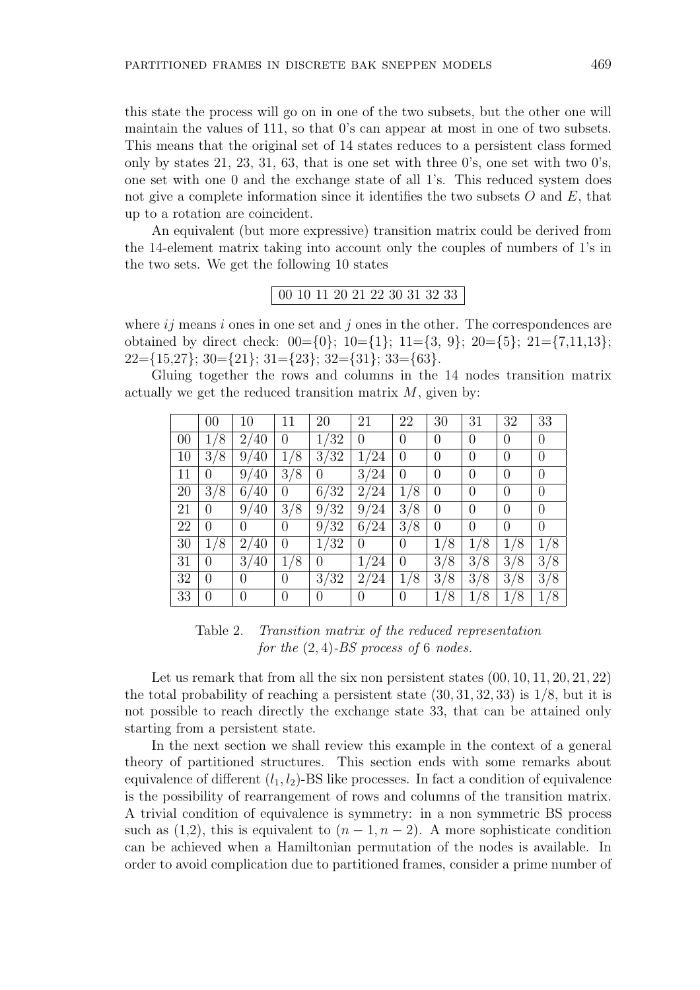this state the process will go on in one of the two subsets, but the other one will maintain the values of 111, so that 0's can appear at most in one of two subsets. This means that the original set of 14 states reduces to a persistent class formed only by states 21, 23, 31, 63, that is one set with three 0's, one set with two 0's, one set with one 0 and the exchange state of all 1's. This reduced system does not give a complete information since it identifies the two subsets  $O$  and  $E$ , that up to a rotation are coincident.

An equivalent (but more expressive) transition matrix could be derived from the 14-element matrix taking into account only the couples of numbers of 1's in the two sets. We get the following 10 states

00 10 11 20 21 22 30 31 32 33

where  $ij$  means i ones in one set and j ones in the other. The correspondences are obtained by direct check:  $00 = \{0\}$ ;  $10 = \{1\}$ ;  $11 = \{3, 9\}$ ;  $20 = \{5\}$ ;  $21 = \{7, 11, 13\}$ ;  $22=\{15,27\};$   $30=\{21\};$   $31=\{23\};$   $32=\{31\};$   $33=\{63\}.$ 

Gluing together the rows and columns in the 14 nodes transition matrix actually we get the reduced transition matrix  $M$ , given by:

|    | 00                 | 10                                 | 11                 | 20       | 21       | 22                | 30       | 31                | 32                 | 33                   |
|----|--------------------|------------------------------------|--------------------|----------|----------|-------------------|----------|-------------------|--------------------|----------------------|
| 00 | $^{\prime}8$       | 2/40                               | $\theta$           | 1/32     | 0        | 0                 | 0        | 0                 | $\theta$           | $\theta$             |
| 10 | $^{\prime}8$<br>3/ | 9/40                               | $\mathcal{S}$      | 3/32     | 1/24     | 0                 | 0        | 0                 | $\overline{0}$     | $\overline{0}$       |
| 11 | $\left( \right)$   | $40^\circ$<br>9/                   | $^{\prime}8$<br>3/ | $\theta$ | 3/24     | 0                 | 0        | 0                 | $\theta$           | 0                    |
| 20 | 3/8                | 6/40                               | $\overline{0}$     | 6/32     | 2/24     | '8<br>1           | 0        | 0                 | $\theta$           | $\theta$             |
| 21 | $\left( \right)$   | 9/40                               | 3/8                | 9/32     | 9/24     | 3/8               | 0        | 0                 | $\overline{0}$     | 0                    |
| 22 | 0                  | 0                                  | 0                  | 9/32     | 6/24     | 3/<br>/8          | 0        | 0                 | $\theta$           | 0                    |
| 30 | 8                  | 2/40                               | $\theta$           | 1/32     | 0        | $\overline{0}$    | 8        | 8                 | $\mathcal{S}$      |                      |
| 31 | $\left( \right)$   | $3_{\scriptscriptstyle{I}}$<br>′40 | 8                  | $\Omega$ | 1/24     | $\theta$          | 3/<br>'8 | 3<br>$^{\prime}8$ | 3/<br>$^{\prime}8$ | 3 <sub>l</sub><br>′8 |
| 32 | 0                  | 0                                  | $\overline{0}$     | 3/32     | 2/24     | $^{\prime}8$<br>1 | 3/<br>′8 | 3<br>$^{\prime}8$ | 3/8                | 3 <sub>i</sub><br>/8 |
| 33 |                    | 0                                  | 0                  | $\theta$ | $\theta$ | $\overline{0}$    | 8        | '8                | '8                 |                      |

Table 2. Transition matrix of the reduced representation for the  $(2, 4)$ -BS process of 6 nodes.

Let us remark that from all the six non persistent states  $(00, 10, 11, 20, 21, 22)$ the total probability of reaching a persistent state  $(30, 31, 32, 33)$  is  $1/8$ , but it is not possible to reach directly the exchange state 33, that can be attained only starting from a persistent state.

In the next section we shall review this example in the context of a general theory of partitioned structures. This section ends with some remarks about equivalence of different  $(l_1, l_2)$ -BS like processes. In fact a condition of equivalence is the possibility of rearrangement of rows and columns of the transition matrix. A trivial condition of equivalence is symmetry: in a non symmetric BS process such as (1,2), this is equivalent to  $(n-1, n-2)$ . A more sophisticate condition can be achieved when a Hamiltonian permutation of the nodes is available. In order to avoid complication due to partitioned frames, consider a prime number of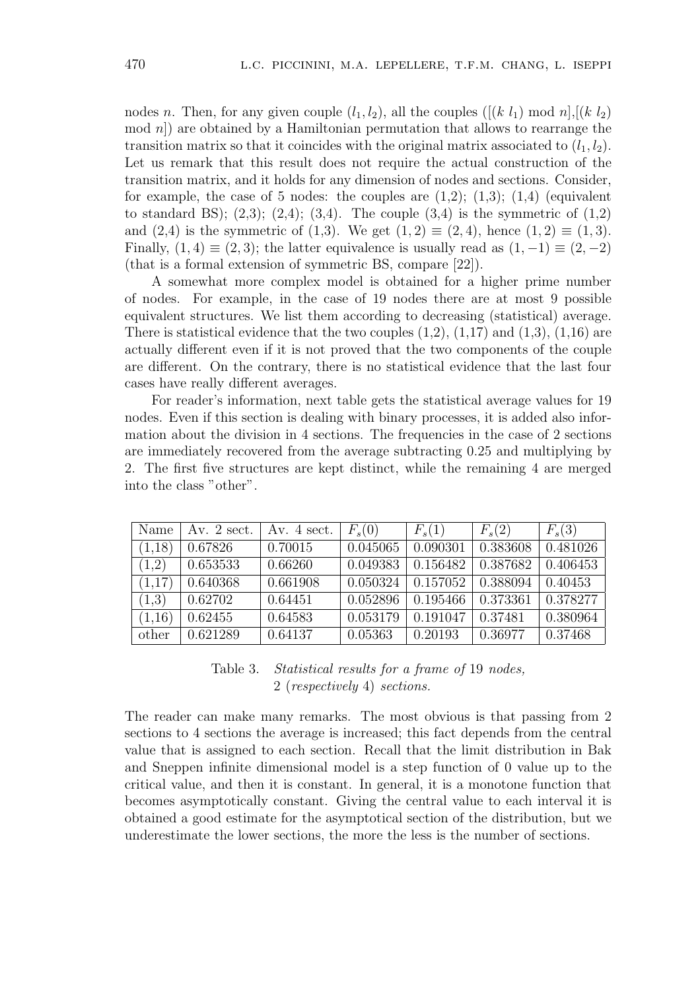nodes n. Then, for any given couple  $(l_1, l_2)$ , all the couples  $([k l_1) \bmod n], [(k l_2)$  $\mod n$ ) are obtained by a Hamiltonian permutation that allows to rearrange the transition matrix so that it coincides with the original matrix associated to  $(l_1, l_2)$ . Let us remark that this result does not require the actual construction of the transition matrix, and it holds for any dimension of nodes and sections. Consider, for example, the case of 5 nodes: the couples are  $(1,2)$ ;  $(1,3)$ ;  $(1,4)$  (equivalent to standard BS);  $(2,3)$ ;  $(2,4)$ ;  $(3,4)$ . The couple  $(3,4)$  is the symmetric of  $(1,2)$ and  $(2,4)$  is the symmetric of  $(1,3)$ . We get  $(1,2) \equiv (2,4)$ , hence  $(1,2) \equiv (1,3)$ . Finally,  $(1, 4) \equiv (2, 3)$ ; the latter equivalence is usually read as  $(1, -1) \equiv (2, -2)$ (that is a formal extension of symmetric BS, compare [22]).

A somewhat more complex model is obtained for a higher prime number of nodes. For example, in the case of 19 nodes there are at most 9 possible equivalent structures. We list them according to decreasing (statistical) average. There is statistical evidence that the two couples  $(1,2)$ ,  $(1,17)$  and  $(1,3)$ ,  $(1,16)$  are actually different even if it is not proved that the two components of the couple are different. On the contrary, there is no statistical evidence that the last four cases have really different averages.

For reader's information, next table gets the statistical average values for 19 nodes. Even if this section is dealing with binary processes, it is added also information about the division in 4 sections. The frequencies in the case of 2 sections are immediately recovered from the average subtracting 0.25 and multiplying by 2. The first five structures are kept distinct, while the remaining 4 are merged into the class "other".

| Name   | Av. $2 \text{ sect.}$ | Av. $4 \text{ sect.}$ | $F_s(0)$ | $F_s(1)$ | $F_s(2)$ | $F_s(3)$ |
|--------|-----------------------|-----------------------|----------|----------|----------|----------|
| (1,18) | 0.67826               | 0.70015               | 0.045065 | 0.090301 | 0.383608 | 0.481026 |
| (1,2)  | 0.653533              | 0.66260               | 0.049383 | 0.156482 | 0.387682 | 0.406453 |
| (1,17) | 0.640368              | 0.661908              | 0.050324 | 0.157052 | 0.388094 | 0.40453  |
| (1,3)  | 0.62702               | 0.64451               | 0.052896 | 0.195466 | 0.373361 | 0.378277 |
| (1,16) | 0.62455               | 0.64583               | 0.053179 | 0.191047 | 0.37481  | 0.380964 |
| other  | 0.621289              | 0.64137               | 0.05363  | 0.20193  | 0.36977  | 0.37468  |

Table 3. Statistical results for a frame of 19 nodes, 2 (respectively 4) sections.

The reader can make many remarks. The most obvious is that passing from 2 sections to 4 sections the average is increased; this fact depends from the central value that is assigned to each section. Recall that the limit distribution in Bak and Sneppen infinite dimensional model is a step function of 0 value up to the critical value, and then it is constant. In general, it is a monotone function that becomes asymptotically constant. Giving the central value to each interval it is obtained a good estimate for the asymptotical section of the distribution, but we underestimate the lower sections, the more the less is the number of sections.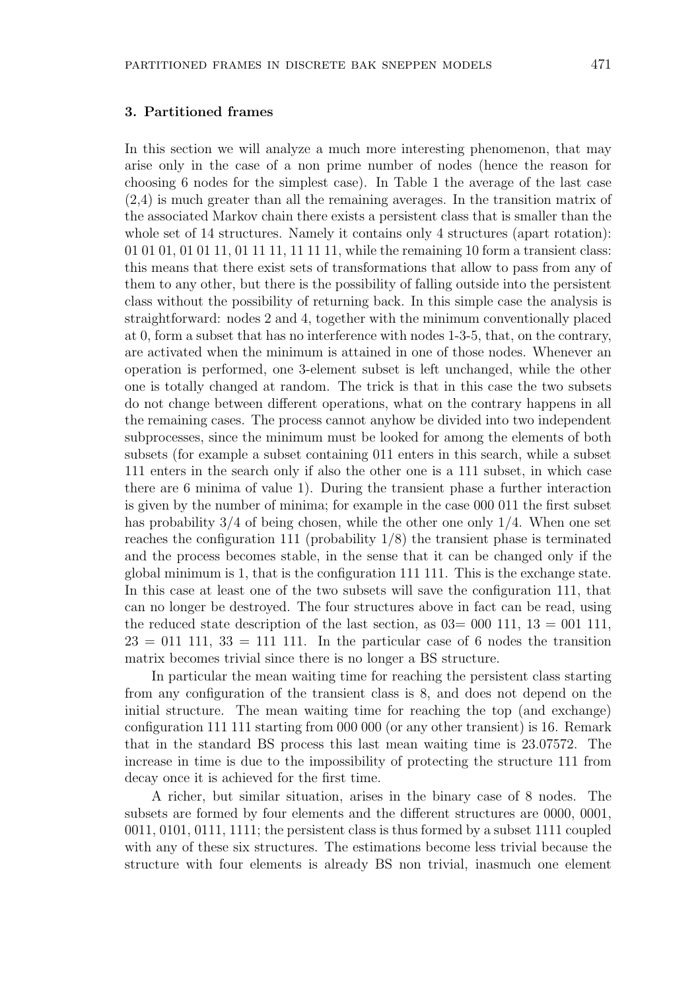# 3. Partitioned frames

In this section we will analyze a much more interesting phenomenon, that may arise only in the case of a non prime number of nodes (hence the reason for choosing 6 nodes for the simplest case). In Table 1 the average of the last case (2,4) is much greater than all the remaining averages. In the transition matrix of the associated Markov chain there exists a persistent class that is smaller than the whole set of 14 structures. Namely it contains only 4 structures (apart rotation): 01 01 01, 01 01 11, 01 11 11, 11 11 11, while the remaining 10 form a transient class: this means that there exist sets of transformations that allow to pass from any of them to any other, but there is the possibility of falling outside into the persistent class without the possibility of returning back. In this simple case the analysis is straightforward: nodes 2 and 4, together with the minimum conventionally placed at 0, form a subset that has no interference with nodes 1-3-5, that, on the contrary, are activated when the minimum is attained in one of those nodes. Whenever an operation is performed, one 3-element subset is left unchanged, while the other one is totally changed at random. The trick is that in this case the two subsets do not change between different operations, what on the contrary happens in all the remaining cases. The process cannot anyhow be divided into two independent subprocesses, since the minimum must be looked for among the elements of both subsets (for example a subset containing 011 enters in this search, while a subset 111 enters in the search only if also the other one is a 111 subset, in which case there are 6 minima of value 1). During the transient phase a further interaction is given by the number of minima; for example in the case 000 011 the first subset has probability 3/4 of being chosen, while the other one only 1/4. When one set reaches the configuration 111 (probability  $1/8$ ) the transient phase is terminated and the process becomes stable, in the sense that it can be changed only if the global minimum is 1, that is the configuration 111 111. This is the exchange state. In this case at least one of the two subsets will save the configuration 111, that can no longer be destroyed. The four structures above in fact can be read, using the reduced state description of the last section, as  $03=000$  111,  $13=001$  111,  $23 = 011$  111,  $33 = 111$  111. In the particular case of 6 nodes the transition matrix becomes trivial since there is no longer a BS structure.

In particular the mean waiting time for reaching the persistent class starting from any configuration of the transient class is 8, and does not depend on the initial structure. The mean waiting time for reaching the top (and exchange) configuration 111 111 starting from 000 000 (or any other transient) is 16. Remark that in the standard BS process this last mean waiting time is 23.07572. The increase in time is due to the impossibility of protecting the structure 111 from decay once it is achieved for the first time.

A richer, but similar situation, arises in the binary case of 8 nodes. The subsets are formed by four elements and the different structures are 0000, 0001, 0011, 0101, 0111, 1111; the persistent class is thus formed by a subset 1111 coupled with any of these six structures. The estimations become less trivial because the structure with four elements is already BS non trivial, inasmuch one element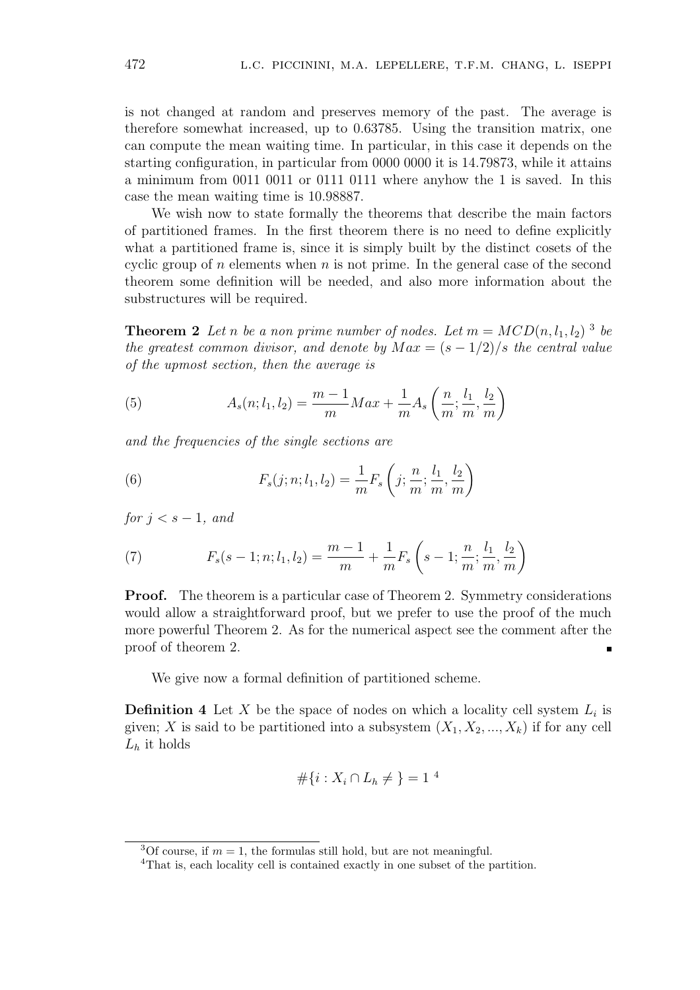is not changed at random and preserves memory of the past. The average is therefore somewhat increased, up to 0.63785. Using the transition matrix, one can compute the mean waiting time. In particular, in this case it depends on the starting configuration, in particular from 0000 0000 it is 14.79873, while it attains a minimum from 0011 0011 or 0111 0111 where anyhow the 1 is saved. In this case the mean waiting time is 10.98887.

We wish now to state formally the theorems that describe the main factors of partitioned frames. In the first theorem there is no need to define explicitly what a partitioned frame is, since it is simply built by the distinct cosets of the cyclic group of n elements when n is not prime. In the general case of the second theorem some definition will be needed, and also more information about the substructures will be required.

**Theorem 2** Let n be a non prime number of nodes. Let  $m = MCD(n, l_1, l_2)$ <sup>3</sup> be the greatest common divisor, and denote by  $Max = (s - 1/2)/s$  the central value of the upmost section, then the average is

(5) 
$$
A_s(n; l_1, l_2) = \frac{m-1}{m} Max + \frac{1}{m} A_s \left( \frac{n}{m}; \frac{l_1}{m}, \frac{l_2}{m} \right)
$$

and the frequencies of the single sections are

(6) 
$$
F_s(j; n; l_1, l_2) = \frac{1}{m} F_s\left(j; \frac{n}{m}; \frac{l_1}{m}, \frac{l_2}{m}\right)
$$

for  $j < s - 1$ , and

(7) 
$$
F_s(s-1; n; l_1, l_2) = \frac{m-1}{m} + \frac{1}{m} F_s\left(s-1; \frac{n}{m}; \frac{l_1}{m}, \frac{l_2}{m}\right)
$$

Proof. The theorem is a particular case of Theorem 2. Symmetry considerations would allow a straightforward proof, but we prefer to use the proof of the much more powerful Theorem 2. As for the numerical aspect see the comment after the proof of theorem 2.  $\blacksquare$ 

We give now a formal definition of partitioned scheme.

**Definition 4** Let X be the space of nodes on which a locality cell system  $L_i$  is given; X is said to be partitioned into a subsystem  $(X_1, X_2, ..., X_k)$  if for any cell  $L_h$  it holds

$$
\#\{i: X_i \cap L_h \neq \} = 1^4
$$

<sup>&</sup>lt;sup>3</sup>Of course, if  $m = 1$ , the formulas still hold, but are not meaningful.

<sup>&</sup>lt;sup>4</sup>That is, each locality cell is contained exactly in one subset of the partition.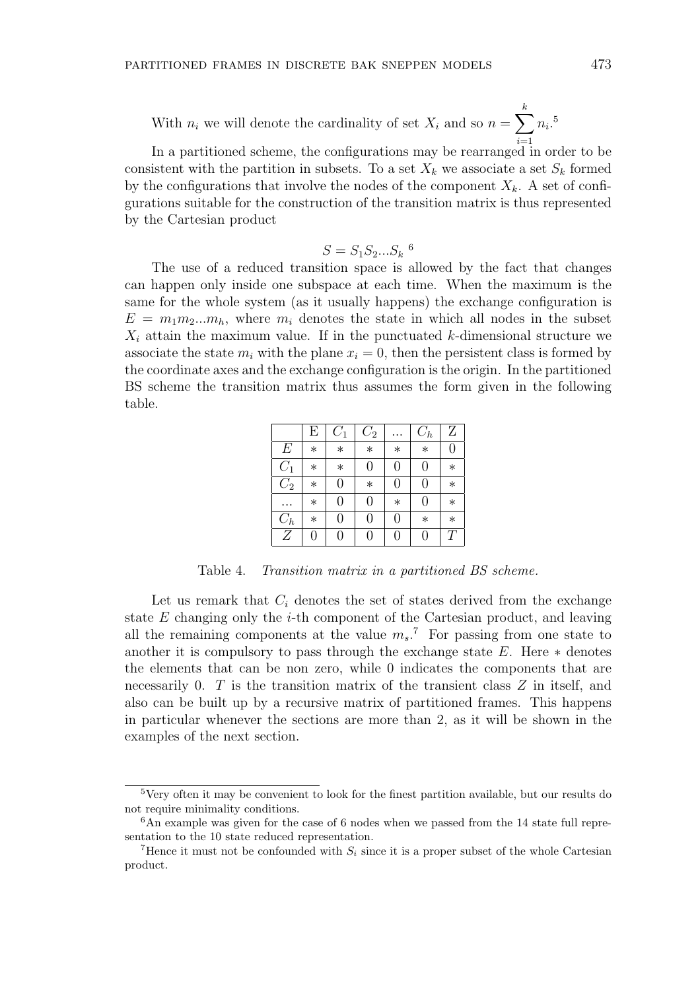With  $n_i$  we will denote the cardinality of set  $X_i$  and so  $n =$  $\frac{k}{\sqrt{2}}$  $i=1$  $n_i$ .<sup>5</sup>

In a partitioned scheme, the configurations may be rearranged in order to be consistent with the partition in subsets. To a set  $X_k$  we associate a set  $S_k$  formed by the configurations that involve the nodes of the component  $X_k$ . A set of configurations suitable for the construction of the transition matrix is thus represented by the Cartesian product

$$
S = S_1 S_2 \dots S_k
$$
<sup>6</sup>

The use of a reduced transition space is allowed by the fact that changes can happen only inside one subspace at each time. When the maximum is the same for the whole system (as it usually happens) the exchange configuration is  $E = m_1 m_2 ... m_h$ , where  $m_i$  denotes the state in which all nodes in the subset  $X_i$  attain the maximum value. If in the punctuated k-dimensional structure we associate the state  $m_i$  with the plane  $x_i = 0$ , then the persistent class is formed by the coordinate axes and the exchange configuration is the origin. In the partitioned BS scheme the transition matrix thus assumes the form given in the following table.

|                  | Е      | $C_1$            | $C_2$          |                | $C_h$          | Ζ                |
|------------------|--------|------------------|----------------|----------------|----------------|------------------|
| E                | $\ast$ | $\ast$           | $\ast$         | $\ast$         | $\ast$         | $\boldsymbol{0}$ |
| $C_1$            | $\ast$ | $\ast$           | 0              | $\overline{0}$ | $\overline{0}$ | $\ast$           |
| $\overline{C_2}$ | $\ast$ | 0                | $\ast$         | $\overline{0}$ | $\overline{0}$ | $\ast$           |
|                  | $\ast$ | $\boldsymbol{0}$ | 0              | $\ast$         | $\overline{0}$ | $\ast$           |
| $C_h$            | $\ast$ | 0                | $\overline{0}$ | $\overline{0}$ | $\ast$         | $\ast$           |
| $\overline{Z}$   | 0      | 0                | 0              | $\overline{0}$ | 0              | T                |

Table 4. Transition matrix in a partitioned BS scheme.

Let us remark that  $C_i$  denotes the set of states derived from the exchange state  $E$  changing only the  $i$ -th component of the Cartesian product, and leaving all the remaining components at the value  $m_s$ .<sup>7</sup> For passing from one state to another it is compulsory to pass through the exchange state  $E$ . Here  $*$  denotes the elements that can be non zero, while 0 indicates the components that are necessarily 0.  $T$  is the transition matrix of the transient class  $Z$  in itself, and also can be built up by a recursive matrix of partitioned frames. This happens in particular whenever the sections are more than 2, as it will be shown in the examples of the next section.

<sup>&</sup>lt;sup>5</sup>Very often it may be convenient to look for the finest partition available, but our results do not require minimality conditions.

 $6$ An example was given for the case of 6 nodes when we passed from the 14 state full representation to the 10 state reduced representation.

<sup>&</sup>lt;sup>7</sup>Hence it must not be confounded with  $S_i$  since it is a proper subset of the whole Cartesian product.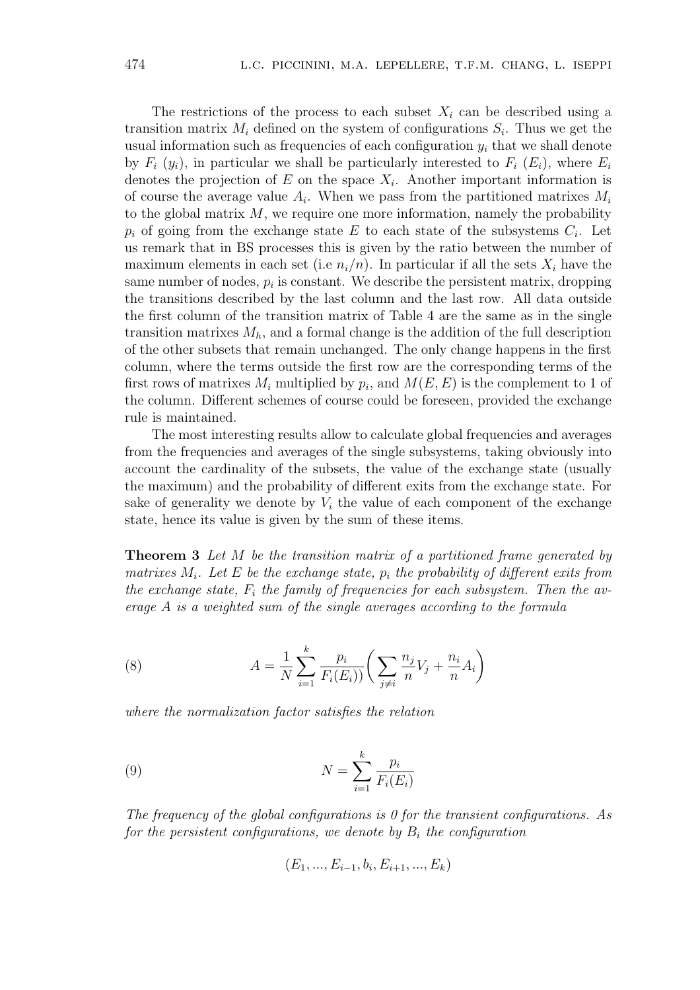The restrictions of the process to each subset  $X_i$  can be described using a transition matrix  $M_i$  defined on the system of configurations  $S_i$ . Thus we get the usual information such as frequencies of each configuration  $y_i$  that we shall denote by  $F_i$   $(y_i)$ , in particular we shall be particularly interested to  $F_i$   $(E_i)$ , where  $E_i$ denotes the projection of  $E$  on the space  $X_i$ . Another important information is of course the average value  $A_i$ . When we pass from the partitioned matrixes  $M_i$ to the global matrix  $M$ , we require one more information, namely the probability  $p_i$  of going from the exchange state E to each state of the subsystems  $C_i$ . Let us remark that in BS processes this is given by the ratio between the number of maximum elements in each set (i.e  $n_i/n$ ). In particular if all the sets  $X_i$  have the same number of nodes,  $p_i$  is constant. We describe the persistent matrix, dropping the transitions described by the last column and the last row. All data outside the first column of the transition matrix of Table 4 are the same as in the single transition matrixes  $M_h$ , and a formal change is the addition of the full description of the other subsets that remain unchanged. The only change happens in the first column, where the terms outside the first row are the corresponding terms of the first rows of matrixes  $M_i$  multiplied by  $p_i$ , and  $M(E, E)$  is the complement to 1 of the column. Different schemes of course could be foreseen, provided the exchange rule is maintained.

The most interesting results allow to calculate global frequencies and averages from the frequencies and averages of the single subsystems, taking obviously into account the cardinality of the subsets, the value of the exchange state (usually the maximum) and the probability of different exits from the exchange state. For sake of generality we denote by  $V_i$  the value of each component of the exchange state, hence its value is given by the sum of these items.

**Theorem 3** Let M be the transition matrix of a partitioned frame generated by matrixes  $M_i$ . Let E be the exchange state,  $p_i$  the probability of different exits from the exchange state,  $F_i$  the family of frequencies for each subsystem. Then the average A is a weighted sum of the single averages according to the formula

(8) 
$$
A = \frac{1}{N} \sum_{i=1}^{k} \frac{p_i}{F_i(E_i)} \left( \sum_{j \neq i} \frac{n_j}{n} V_j + \frac{n_i}{n} A_i \right)
$$

where the normalization factor satisfies the relation

(9) 
$$
N = \sum_{i=1}^{k} \frac{p_i}{F_i(E_i)}
$$

The frequency of the global configurations is  $\theta$  for the transient configurations. As for the persistent configurations, we denote by  $B_i$  the configuration

$$
(E_1, ..., E_{i-1}, b_i, E_{i+1}, ..., E_k)
$$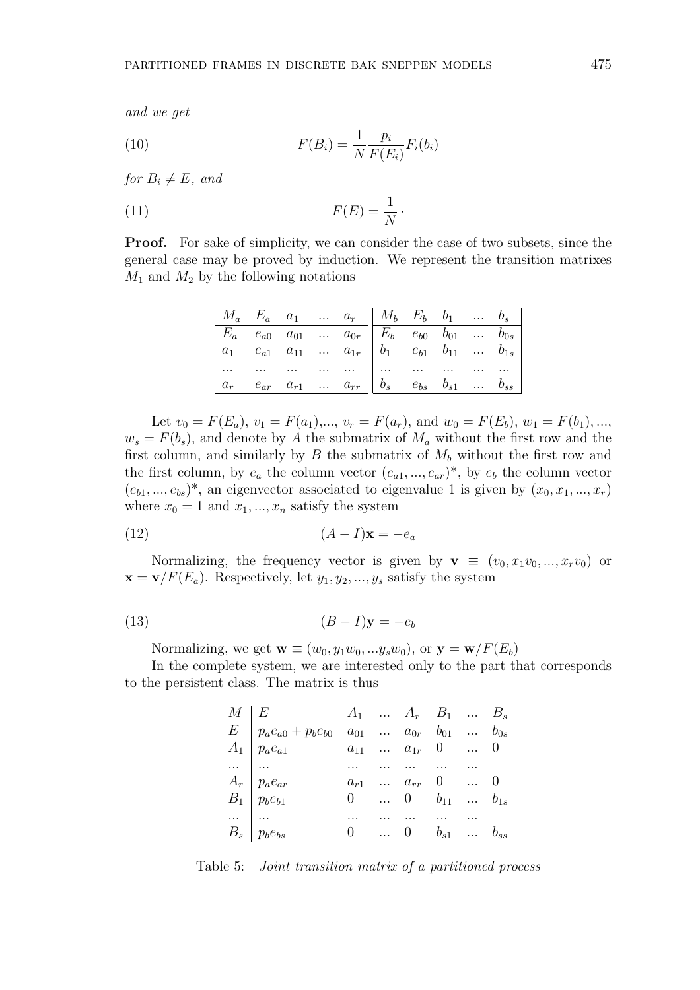and we get

(10) 
$$
F(B_i) = \frac{1}{N} \frac{p_i}{F(E_i)} F_i(b_i)
$$

for  $B_i \neq E$ , and

$$
(11) \t\t F(E) = \frac{1}{N}.
$$

Proof. For sake of simplicity, we can consider the case of two subsets, since the general case may be proved by induction. We represent the transition matrixes  $M_1$  and  $M_2$  by the following notations

|  |  | $\begin{array}{ c c c c c c c c } \hline M_a & E_a & a_1 & \ldots & a_r & M_b & E_b & b_1 & \ldots & b_s \ \hline \end{array}$                                                                                                           |  |  |
|--|--|------------------------------------------------------------------------------------------------------------------------------------------------------------------------------------------------------------------------------------------|--|--|
|  |  |                                                                                                                                                                                                                                          |  |  |
|  |  | $\begin{array}{ c cccc cccc } \hline E_a & e_{a0} & a_{01} & \ldots & a_{0r} & E_b & e_{b0} & b_{01} & \ldots & b_{0s} \\ \hline a_1 & e_{a1} & a_{11} & \ldots & a_{1r} & b_1 & e_{b1} & b_{11} & \ldots & b_{1s} \\\hline \end{array}$ |  |  |
|  |  |                                                                                                                                                                                                                                          |  |  |
|  |  | $\begin{array}{ c c c c c c c c } \hline \dots & \dots & \dots & \dots & \dots & \dots & \dots & \dots & \dots & \dots & \ a_r & e_{ar} & a_{r1} & \dots & a_{rr} & b_s & e_{bs} & b_{s1} & \dots & b_{ss} \ \hline \end{array}$         |  |  |

Let  $v_0 = F(E_a)$ ,  $v_1 = F(a_1)$ ,...,  $v_r = F(a_r)$ , and  $w_0 = F(E_b)$ ,  $w_1 = F(b_1)$ ,...,  $w_s = F(b_s)$ , and denote by A the submatrix of  $M_a$  without the first row and the first column, and similarly by  $B$  the submatrix of  $M_b$  without the first row and the first column, by  $e_a$  the column vector  $(e_{a1},...,e_{ar})^*$ , by  $e_b$  the column vector  $(e_{b1},...,e_{bs})^*$ , an eigenvector associated to eigenvalue 1 is given by  $(x_0, x_1, ..., x_r)$ where  $x_0 = 1$  and  $x_1, ..., x_n$  satisfy the system

$$
(12)\qquad \qquad (A-I)\mathbf{x} = -e_a
$$

Normalizing, the frequency vector is given by  $\mathbf{v} \equiv (v_0, x_1v_0, ..., x_rv_0)$  or  $\mathbf{x} = \mathbf{v}/F(E_a)$ . Respectively, let  $y_1, y_2, ..., y_s$  satisfy the system

$$
(13) \t\t\t (B-I)\mathbf{y} = -e_b
$$

Normalizing, we get  $\mathbf{w} \equiv (w_0, y_1w_0, \ldots, y_sw_0)$ , or  $\mathbf{y} = \mathbf{w}/F(E_b)$ 

In the complete system, we are interested only to the part that corresponds to the persistent class. The matrix is thus

| $M \mid E$ $A_1 \quad \dots \quad A_r \quad B_1 \quad \dots \quad B_s$                                                                                                                                                                                                                                                                                                                                                     |  |  |  |
|----------------------------------------------------------------------------------------------------------------------------------------------------------------------------------------------------------------------------------------------------------------------------------------------------------------------------------------------------------------------------------------------------------------------------|--|--|--|
|                                                                                                                                                                                                                                                                                                                                                                                                                            |  |  |  |
|                                                                                                                                                                                                                                                                                                                                                                                                                            |  |  |  |
|                                                                                                                                                                                                                                                                                                                                                                                                                            |  |  |  |
|                                                                                                                                                                                                                                                                                                                                                                                                                            |  |  |  |
| $\begin{array}{c ccccccccc} \hline \hline E & p_a e_{a0} + p_b e_{b0} & a_{01} & \ldots & a_{0r} & b_{01} & \ldots & b_{0s} \ \hline A_1 & p_a e_{a1} & a_{11} & \ldots & a_{1r} & 0 & \ldots & 0 \ \ldots & \ldots & \ldots & \ldots & \ldots & \ldots & \ldots \ \hline A_r & p_a e_{ar} & a_{r1} & \ldots & a_{rr} & 0 & \ldots & 0 \ B_1 & p_b e_{b1} & 0 & \ldots & 0 & b_{11} & \ldots & b_{1s} \ \ldots & \ldots &$ |  |  |  |
|                                                                                                                                                                                                                                                                                                                                                                                                                            |  |  |  |
|                                                                                                                                                                                                                                                                                                                                                                                                                            |  |  |  |

Table 5: Joint transition matrix of a partitioned process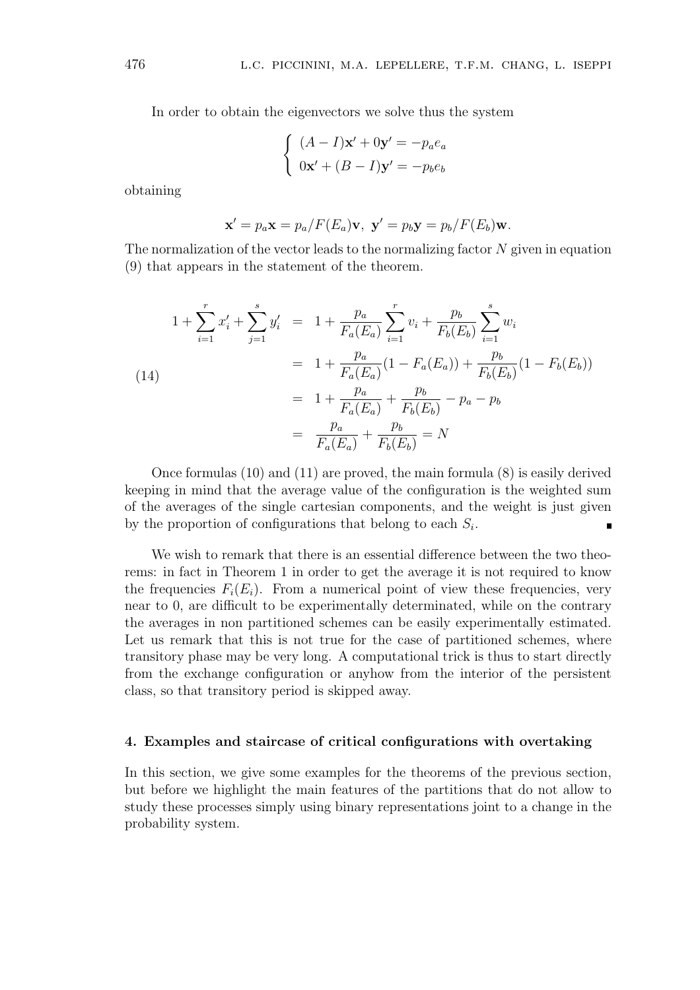In order to obtain the eigenvectors we solve thus the system

$$
\begin{cases} (A - I)\mathbf{x}' + 0\mathbf{y}' = -p_a e_a \\ 0\mathbf{x}' + (B - I)\mathbf{y}' = -p_b e_b \end{cases}
$$

obtaining

$$
\mathbf{x}' = p_a \mathbf{x} = p_a/F(E_a)\mathbf{v}, \ \mathbf{y}' = p_b \mathbf{y} = p_b/F(E_b)\mathbf{w}.
$$

The normalization of the vector leads to the normalizing factor  $N$  given in equation (9) that appears in the statement of the theorem.

(14)  
\n
$$
1 + \sum_{i=1}^{r} x'_i + \sum_{j=1}^{s} y'_i = 1 + \frac{p_a}{F_a(E_a)} \sum_{i=1}^{r} v_i + \frac{p_b}{F_b(E_b)} \sum_{i=1}^{s} w_i
$$
\n
$$
= 1 + \frac{p_a}{F_a(E_a)} (1 - F_a(E_a)) + \frac{p_b}{F_b(E_b)} (1 - F_b(E_b))
$$
\n
$$
= 1 + \frac{p_a}{F_a(E_a)} + \frac{p_b}{F_b(E_b)} - p_a - p_b
$$
\n
$$
= \frac{p_a}{F_a(E_a)} + \frac{p_b}{F_b(E_b)} = N
$$

Once formulas (10) and (11) are proved, the main formula (8) is easily derived keeping in mind that the average value of the configuration is the weighted sum of the averages of the single cartesian components, and the weight is just given by the proportion of configurations that belong to each  $S_i$ .

We wish to remark that there is an essential difference between the two theorems: in fact in Theorem 1 in order to get the average it is not required to know the frequencies  $F_i(E_i)$ . From a numerical point of view these frequencies, very near to 0, are difficult to be experimentally determinated, while on the contrary the averages in non partitioned schemes can be easily experimentally estimated. Let us remark that this is not true for the case of partitioned schemes, where transitory phase may be very long. A computational trick is thus to start directly from the exchange configuration or anyhow from the interior of the persistent class, so that transitory period is skipped away.

#### 4. Examples and staircase of critical configurations with overtaking

In this section, we give some examples for the theorems of the previous section, but before we highlight the main features of the partitions that do not allow to study these processes simply using binary representations joint to a change in the probability system.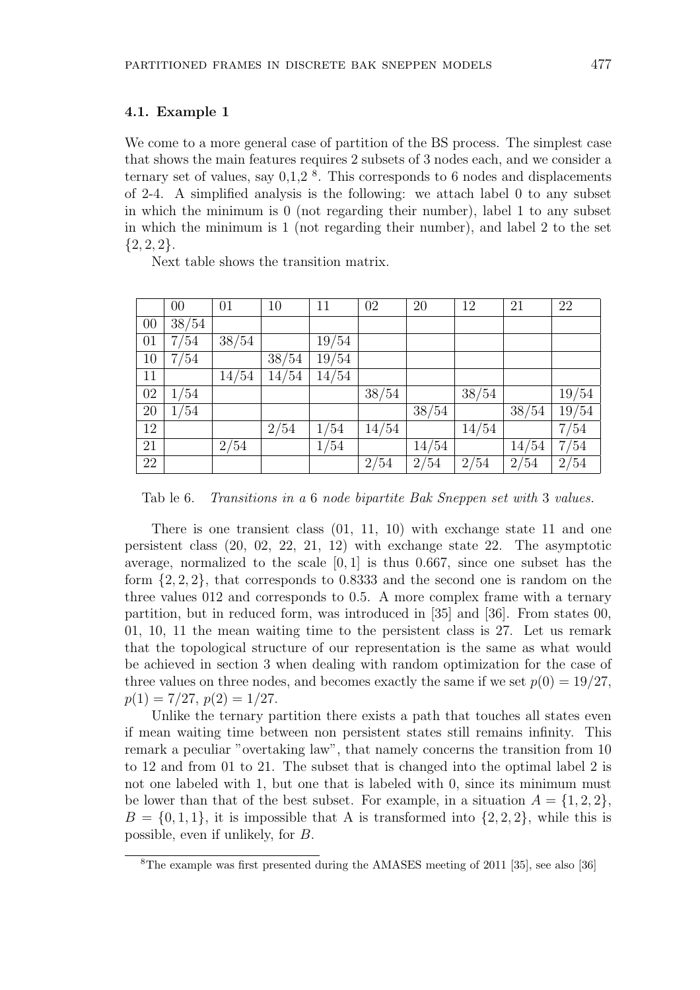#### 4.1. Example 1

We come to a more general case of partition of the BS process. The simplest case that shows the main features requires 2 subsets of 3 nodes each, and we consider a ternary set of values, say  $0,1,2$ <sup>8</sup>. This corresponds to 6 nodes and displacements of 2-4. A simplified analysis is the following: we attach label 0 to any subset in which the minimum is 0 (not regarding their number), label 1 to any subset in which the minimum is 1 (not regarding their number), and label 2 to the set  ${2, 2, 2}.$ 

Next table shows the transition matrix.

|                 | 00             | 01    | 10    | 11    | 02    | 20    | 12    | 21    | 22    |
|-----------------|----------------|-------|-------|-------|-------|-------|-------|-------|-------|
| $00\,$          | $\sqrt{38/54}$ |       |       |       |       |       |       |       |       |
| 01              | 7/54           | 38/54 |       | 19/54 |       |       |       |       |       |
| 10              | 7/54           |       | 38/54 | 19/54 |       |       |       |       |       |
| 11              |                | 14/54 | 14/54 | 14/54 |       |       |       |       |       |
| 02              | 1/54           |       |       |       | 38/54 |       | 38/54 |       | 19/54 |
| 20              | 1/54           |       |       |       |       | 38/54 |       | 38/54 | 19/54 |
| 12              |                |       | 2/54  | 1/54  | 14/54 |       | 14/54 |       | 7/54  |
| 21              |                | 2/54  |       | 1/54  |       | 14/54 |       | 14/54 | 7/54  |
| $\overline{22}$ |                |       |       |       | 2/54  | 2/54  | 2/54  | 2/54  | 2/54  |

Tab le 6. Transitions in a 6 node bipartite Bak Sneppen set with 3 values.

There is one transient class (01, 11, 10) with exchange state 11 and one persistent class (20, 02, 22, 21, 12) with exchange state 22. The asymptotic average, normalized to the scale [0, 1] is thus 0.667, since one subset has the form {2, 2, 2}, that corresponds to 0.8333 and the second one is random on the three values 012 and corresponds to 0.5. A more complex frame with a ternary partition, but in reduced form, was introduced in [35] and [36]. From states 00, 01, 10, 11 the mean waiting time to the persistent class is 27. Let us remark that the topological structure of our representation is the same as what would be achieved in section 3 when dealing with random optimization for the case of three values on three nodes, and becomes exactly the same if we set  $p(0) = 19/27$ ,  $p(1) = 7/27, p(2) = 1/27.$ 

Unlike the ternary partition there exists a path that touches all states even if mean waiting time between non persistent states still remains infinity. This remark a peculiar "overtaking law", that namely concerns the transition from 10 to 12 and from 01 to 21. The subset that is changed into the optimal label 2 is not one labeled with 1, but one that is labeled with 0, since its minimum must be lower than that of the best subset. For example, in a situation  $A = \{1, 2, 2\}$ ,  $B = \{0, 1, 1\}$ , it is impossible that A is transformed into  $\{2, 2, 2\}$ , while this is possible, even if unlikely, for B.

<sup>8</sup>The example was first presented during the AMASES meeting of 2011 [35], see also [36]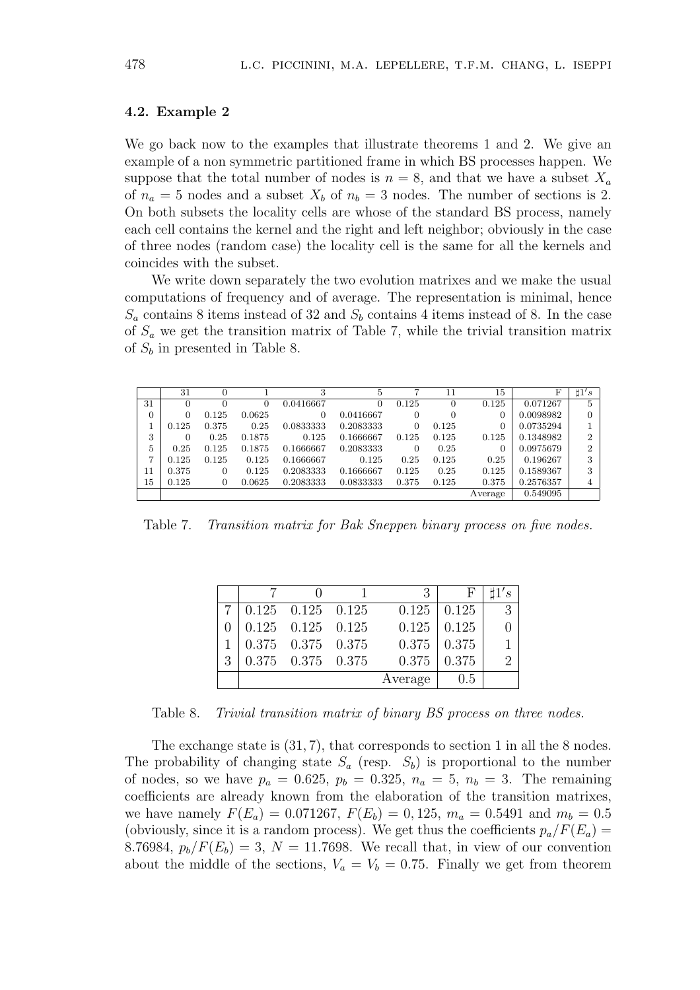# 4.2. Example 2

We go back now to the examples that illustrate theorems 1 and 2. We give an example of a non symmetric partitioned frame in which BS processes happen. We suppose that the total number of nodes is  $n = 8$ , and that we have a subset  $X_a$ of  $n_a = 5$  nodes and a subset  $X_b$  of  $n_b = 3$  nodes. The number of sections is 2. On both subsets the locality cells are whose of the standard BS process, namely each cell contains the kernel and the right and left neighbor; obviously in the case of three nodes (random case) the locality cell is the same for all the kernels and coincides with the subset.

We write down separately the two evolution matrixes and we make the usual computations of frequency and of average. The representation is minimal, hence  $S_a$  contains 8 items instead of 32 and  $S_b$  contains 4 items instead of 8. In the case of  $S_a$  we get the transition matrix of Table 7, while the trivial transition matrix of  $S_b$  in presented in Table 8.

|    | 31    |       |        | 3         | 5         | 7        | 11    | 15      | F         | $\sharp 1's$ |
|----|-------|-------|--------|-----------|-----------|----------|-------|---------|-----------|--------------|
| 31 | 0     |       | 0      | 0.0416667 |           | 0.125    |       | 0.125   | 0.071267  | 5            |
| 0  | 0     | 0.125 | 0.0625 | $\Omega$  | 0.0416667 | 0        | 0     |         | 0.0098982 | 0            |
|    | 0.125 | 0.375 | 0.25   | 0.0833333 | 0.2083333 | $\Omega$ | 0.125 |         | 0.0735294 |              |
| 3  | 0     | 0.25  | 0.1875 | 0.125     | 0.1666667 | 0.125    | 0.125 | 0.125   | 0.1348982 | ົ            |
| 5  | 0.25  | 0.125 | 0.1875 | 0.1666667 | 0.2083333 | 0        | 0.25  | 0       | 0.0975679 | ົ            |
| ⇁  | 0.125 | 0.125 | 0.125  | 0.1666667 | 0.125     | 0.25     | 0.125 | 0.25    | 0.196267  | 3            |
| 11 | 0.375 | 0     | 0.125  | 0.2083333 | 0.1666667 | 0.125    | 0.25  | 0.125   | 0.1589367 | 3            |
| 15 | 0.125 | 0     | 0.0625 | 0.2083333 | 0.0833333 | 0.375    | 0.125 | 0.375   | 0.2576357 |              |
|    |       |       |        |           |           |          |       | Average | 0.549095  |              |

Table 7. Transition matrix for Bak Sneppen binary process on five nodes.

|   |                         | $\mathcal{E}$ | F.                | 1's |
|---|-------------------------|---------------|-------------------|-----|
|   | $0.125$ $0.125$ $0.125$ |               | $0.125 \pm 0.125$ |     |
|   | $0.125$ $0.125$ $0.125$ | 0.125         | 0.125             |     |
|   | $0.375$ $0.375$ $0.375$ | 0.375         | 0.375             |     |
| 3 | $0.375$ $0.375$ $0.375$ | 0.375         | 0.375             |     |
|   |                         | Average       | 0.5               |     |

Table 8. Trivial transition matrix of binary BS process on three nodes.

The exchange state is (31, 7), that corresponds to section 1 in all the 8 nodes. The probability of changing state  $S_a$  (resp.  $S_b$ ) is proportional to the number of nodes, so we have  $p_a = 0.625$ ,  $p_b = 0.325$ ,  $n_a = 5$ ,  $n_b = 3$ . The remaining coefficients are already known from the elaboration of the transition matrixes, we have namely  $F(E_a) = 0.071267$ ,  $F(E_b) = 0.125$ ,  $m_a = 0.5491$  and  $m_b = 0.5$ (obviously, since it is a random process). We get thus the coefficients  $p_a/F(E_a)$  = 8.76984,  $p_b/F(E_b) = 3$ ,  $N = 11.7698$ . We recall that, in view of our convention about the middle of the sections,  $V_a = V_b = 0.75$ . Finally we get from theorem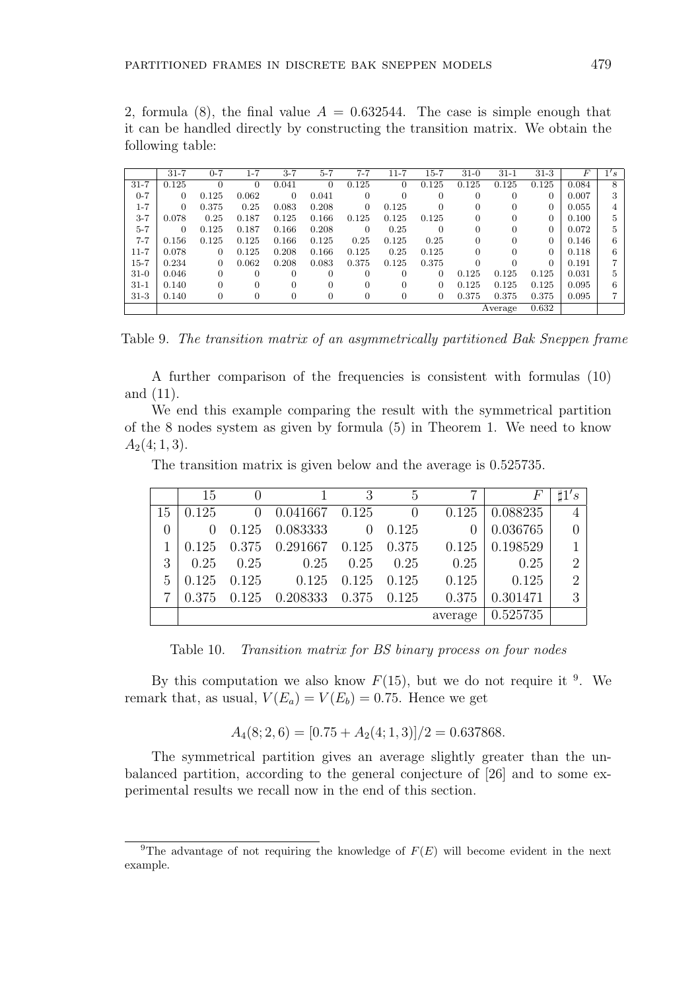2, formula (8), the final value  $A = 0.632544$ . The case is simple enough that it can be handled directly by constructing the transition matrix. We obtain the following table:

Table 9. The transition matrix of an asymmetrically partitioned Bak Sneppen frame

A further comparison of the frequencies is consistent with formulas (10) and (11).

We end this example comparing the result with the symmetrical partition of the 8 nodes system as given by formula (5) in Theorem 1. We need to know  $A_2(4; 1, 3).$ 

The transition matrix is given below and the average is 0.525735.

|    | 15    |                |                    | 3        | 5              |         |          |                |
|----|-------|----------------|--------------------|----------|----------------|---------|----------|----------------|
| 15 | 0.125 | $\overline{0}$ | $0.041667$ $0.125$ |          | $\overline{0}$ | 0.125   | 0.088235 |                |
|    |       |                | 0.125 0.083333     | $\theta$ | 0.125          |         | 0.036765 |                |
|    | 0.125 |                | 0.375 0.291667     | 0.125    | 0.375          | 0.125   | 0.198529 |                |
| 3  | 0.25  | 0.25           | 0.25               | 0.25     | 0.25           | 0.25    | 0.25     | $\overline{2}$ |
| 5  | 0.125 | 0.125          | 0.125              | 0.125    | 0.125          | 0.125   | 0.125    | റ              |
|    | 0.375 |                | 0.125 0.208333     | 0.375    | 0.125          | 0.375   | 0.301471 | 3              |
|    |       |                |                    |          |                | average | 0.525735 |                |

Table 10. Transition matrix for BS binary process on four nodes

By this computation we also know  $F(15)$ , but we do not require it <sup>9</sup>. We remark that, as usual,  $V(E_a) = V(E_b) = 0.75$ . Hence we get

$$
A_4(8; 2, 6) = [0.75 + A_2(4; 1, 3)]/2 = 0.637868.
$$

The symmetrical partition gives an average slightly greater than the unbalanced partition, according to the general conjecture of [26] and to some experimental results we recall now in the end of this section.

<sup>&</sup>lt;sup>9</sup>The advantage of not requiring the knowledge of  $F(E)$  will become evident in the next example.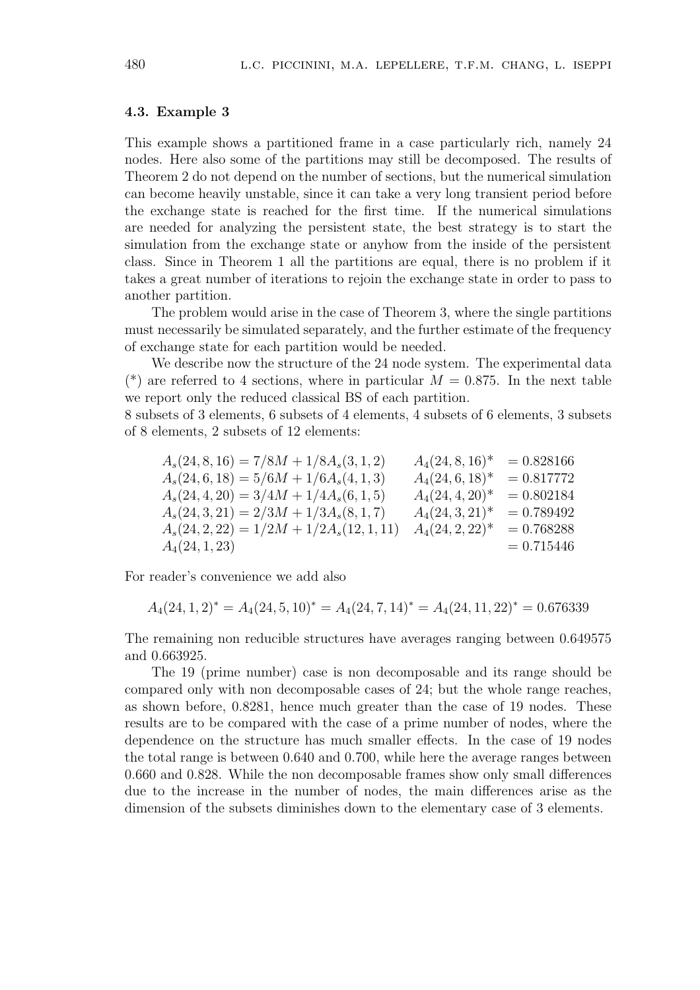# 4.3. Example 3

This example shows a partitioned frame in a case particularly rich, namely 24 nodes. Here also some of the partitions may still be decomposed. The results of Theorem 2 do not depend on the number of sections, but the numerical simulation can become heavily unstable, since it can take a very long transient period before the exchange state is reached for the first time. If the numerical simulations are needed for analyzing the persistent state, the best strategy is to start the simulation from the exchange state or anyhow from the inside of the persistent class. Since in Theorem 1 all the partitions are equal, there is no problem if it takes a great number of iterations to rejoin the exchange state in order to pass to another partition.

The problem would arise in the case of Theorem 3, where the single partitions must necessarily be simulated separately, and the further estimate of the frequency of exchange state for each partition would be needed.

We describe now the structure of the 24 node system. The experimental data (\*) are referred to 4 sections, where in particular  $M = 0.875$ . In the next table we report only the reduced classical BS of each partition.

8 subsets of 3 elements, 6 subsets of 4 elements, 4 subsets of 6 elements, 3 subsets of 8 elements, 2 subsets of 12 elements:

| $A_s(24,8,16) = 7/8M + 1/8A_s(3,1,2)$     | $A_4(24,8,16)^*$   | $= 0.828166$ |
|-------------------------------------------|--------------------|--------------|
| $A_s(24,6,18) = 5/6M + 1/6A_s(4,1,3)$     | $A_4(24,6,18)^*$   | $= 0.817772$ |
| $A_s(24, 4, 20) = 3/4M + 1/4A_s(6, 1, 5)$ | $A_4(24, 4, 20)^*$ | $= 0.802184$ |
| $A_s(24,3,21) = 2/3M + 1/3A_s(8,1,7)$     | $A_4(24,3,21)^*$   | $= 0.789492$ |
| $A_s(24,2,22) = 1/2M + 1/2A_s(12,1,11)$   | $A_4(24, 2, 22)^*$ | $= 0.768288$ |
| $A_4(24, 1, 23)$                          |                    | $= 0.715446$ |
|                                           |                    |              |

For reader's convenience we add also

$$
A_4(24, 1, 2)^* = A_4(24, 5, 10)^* = A_4(24, 7, 14)^* = A_4(24, 11, 22)^* = 0.676339
$$

The remaining non reducible structures have averages ranging between 0.649575 and 0.663925.

The 19 (prime number) case is non decomposable and its range should be compared only with non decomposable cases of 24; but the whole range reaches, as shown before, 0.8281, hence much greater than the case of 19 nodes. These results are to be compared with the case of a prime number of nodes, where the dependence on the structure has much smaller effects. In the case of 19 nodes the total range is between 0.640 and 0.700, while here the average ranges between 0.660 and 0.828. While the non decomposable frames show only small differences due to the increase in the number of nodes, the main differences arise as the dimension of the subsets diminishes down to the elementary case of 3 elements.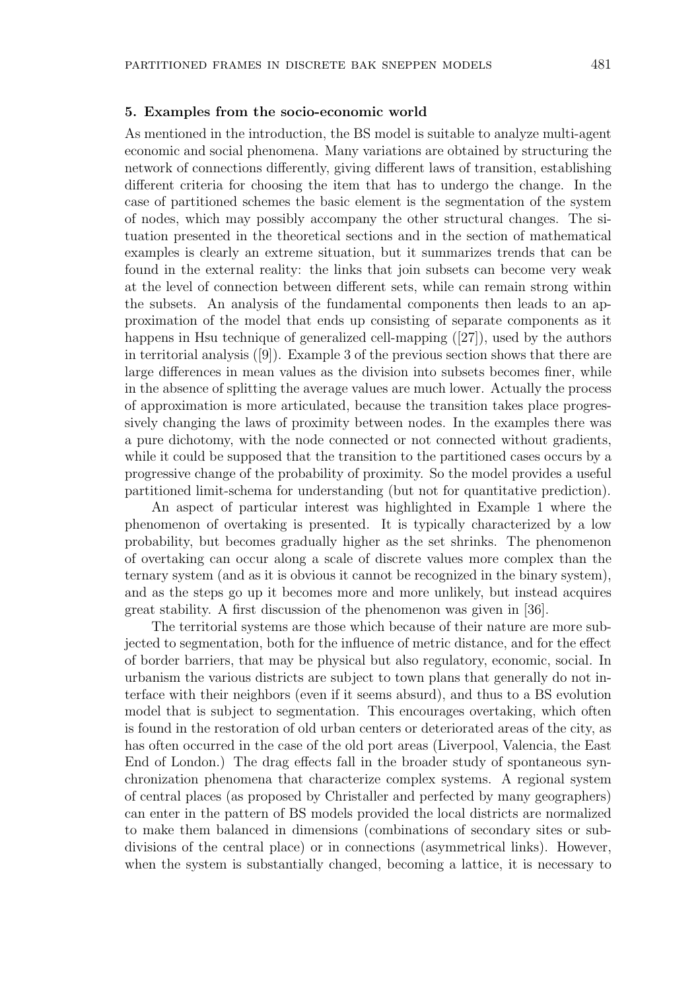#### 5. Examples from the socio-economic world

As mentioned in the introduction, the BS model is suitable to analyze multi-agent economic and social phenomena. Many variations are obtained by structuring the network of connections differently, giving different laws of transition, establishing different criteria for choosing the item that has to undergo the change. In the case of partitioned schemes the basic element is the segmentation of the system of nodes, which may possibly accompany the other structural changes. The situation presented in the theoretical sections and in the section of mathematical examples is clearly an extreme situation, but it summarizes trends that can be found in the external reality: the links that join subsets can become very weak at the level of connection between different sets, while can remain strong within the subsets. An analysis of the fundamental components then leads to an approximation of the model that ends up consisting of separate components as it happens in Hsu technique of generalized cell-mapping ([27]), used by the authors in territorial analysis ([9]). Example 3 of the previous section shows that there are large differences in mean values as the division into subsets becomes finer, while in the absence of splitting the average values are much lower. Actually the process of approximation is more articulated, because the transition takes place progressively changing the laws of proximity between nodes. In the examples there was a pure dichotomy, with the node connected or not connected without gradients, while it could be supposed that the transition to the partitioned cases occurs by a progressive change of the probability of proximity. So the model provides a useful partitioned limit-schema for understanding (but not for quantitative prediction).

An aspect of particular interest was highlighted in Example 1 where the phenomenon of overtaking is presented. It is typically characterized by a low probability, but becomes gradually higher as the set shrinks. The phenomenon of overtaking can occur along a scale of discrete values more complex than the ternary system (and as it is obvious it cannot be recognized in the binary system), and as the steps go up it becomes more and more unlikely, but instead acquires great stability. A first discussion of the phenomenon was given in [36].

The territorial systems are those which because of their nature are more subjected to segmentation, both for the influence of metric distance, and for the effect of border barriers, that may be physical but also regulatory, economic, social. In urbanism the various districts are subject to town plans that generally do not interface with their neighbors (even if it seems absurd), and thus to a BS evolution model that is subject to segmentation. This encourages overtaking, which often is found in the restoration of old urban centers or deteriorated areas of the city, as has often occurred in the case of the old port areas (Liverpool, Valencia, the East End of London.) The drag effects fall in the broader study of spontaneous synchronization phenomena that characterize complex systems. A regional system of central places (as proposed by Christaller and perfected by many geographers) can enter in the pattern of BS models provided the local districts are normalized to make them balanced in dimensions (combinations of secondary sites or subdivisions of the central place) or in connections (asymmetrical links). However, when the system is substantially changed, becoming a lattice, it is necessary to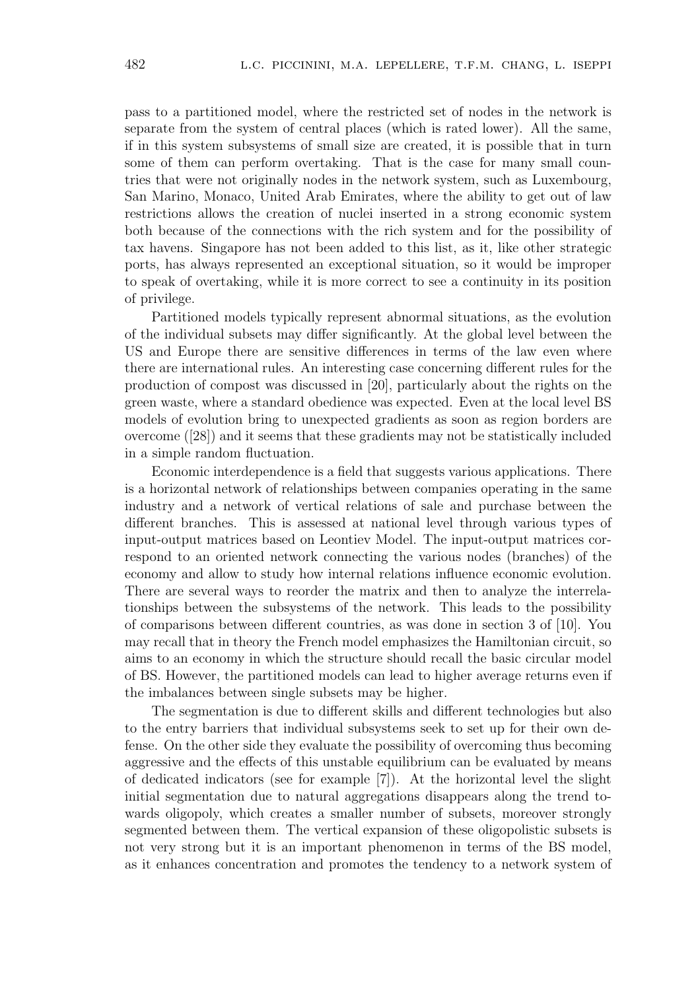pass to a partitioned model, where the restricted set of nodes in the network is separate from the system of central places (which is rated lower). All the same, if in this system subsystems of small size are created, it is possible that in turn some of them can perform overtaking. That is the case for many small countries that were not originally nodes in the network system, such as Luxembourg, San Marino, Monaco, United Arab Emirates, where the ability to get out of law restrictions allows the creation of nuclei inserted in a strong economic system both because of the connections with the rich system and for the possibility of tax havens. Singapore has not been added to this list, as it, like other strategic ports, has always represented an exceptional situation, so it would be improper to speak of overtaking, while it is more correct to see a continuity in its position of privilege.

Partitioned models typically represent abnormal situations, as the evolution of the individual subsets may differ significantly. At the global level between the US and Europe there are sensitive differences in terms of the law even where there are international rules. An interesting case concerning different rules for the production of compost was discussed in [20], particularly about the rights on the green waste, where a standard obedience was expected. Even at the local level BS models of evolution bring to unexpected gradients as soon as region borders are overcome ([28]) and it seems that these gradients may not be statistically included in a simple random fluctuation.

Economic interdependence is a field that suggests various applications. There is a horizontal network of relationships between companies operating in the same industry and a network of vertical relations of sale and purchase between the different branches. This is assessed at national level through various types of input-output matrices based on Leontiev Model. The input-output matrices correspond to an oriented network connecting the various nodes (branches) of the economy and allow to study how internal relations influence economic evolution. There are several ways to reorder the matrix and then to analyze the interrelationships between the subsystems of the network. This leads to the possibility of comparisons between different countries, as was done in section 3 of [10]. You may recall that in theory the French model emphasizes the Hamiltonian circuit, so aims to an economy in which the structure should recall the basic circular model of BS. However, the partitioned models can lead to higher average returns even if the imbalances between single subsets may be higher.

The segmentation is due to different skills and different technologies but also to the entry barriers that individual subsystems seek to set up for their own defense. On the other side they evaluate the possibility of overcoming thus becoming aggressive and the effects of this unstable equilibrium can be evaluated by means of dedicated indicators (see for example [7]). At the horizontal level the slight initial segmentation due to natural aggregations disappears along the trend towards oligopoly, which creates a smaller number of subsets, moreover strongly segmented between them. The vertical expansion of these oligopolistic subsets is not very strong but it is an important phenomenon in terms of the BS model, as it enhances concentration and promotes the tendency to a network system of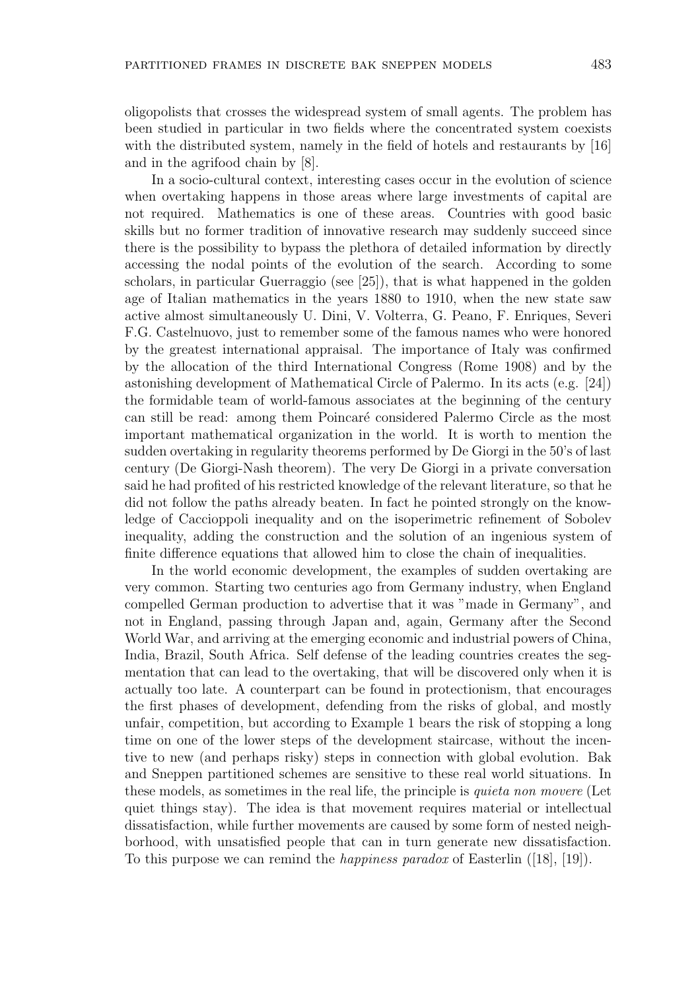oligopolists that crosses the widespread system of small agents. The problem has been studied in particular in two fields where the concentrated system coexists with the distributed system, namely in the field of hotels and restaurants by [16] and in the agrifood chain by [8].

In a socio-cultural context, interesting cases occur in the evolution of science when overtaking happens in those areas where large investments of capital are not required. Mathematics is one of these areas. Countries with good basic skills but no former tradition of innovative research may suddenly succeed since there is the possibility to bypass the plethora of detailed information by directly accessing the nodal points of the evolution of the search. According to some scholars, in particular Guerraggio (see [25]), that is what happened in the golden age of Italian mathematics in the years 1880 to 1910, when the new state saw active almost simultaneously U. Dini, V. Volterra, G. Peano, F. Enriques, Severi F.G. Castelnuovo, just to remember some of the famous names who were honored by the greatest international appraisal. The importance of Italy was confirmed by the allocation of the third International Congress (Rome 1908) and by the astonishing development of Mathematical Circle of Palermo. In its acts (e.g. [24]) the formidable team of world-famous associates at the beginning of the century can still be read: among them Poincar´e considered Palermo Circle as the most important mathematical organization in the world. It is worth to mention the sudden overtaking in regularity theorems performed by De Giorgi in the 50's of last century (De Giorgi-Nash theorem). The very De Giorgi in a private conversation said he had profited of his restricted knowledge of the relevant literature, so that he did not follow the paths already beaten. In fact he pointed strongly on the knowledge of Caccioppoli inequality and on the isoperimetric refinement of Sobolev inequality, adding the construction and the solution of an ingenious system of finite difference equations that allowed him to close the chain of inequalities.

In the world economic development, the examples of sudden overtaking are very common. Starting two centuries ago from Germany industry, when England compelled German production to advertise that it was "made in Germany", and not in England, passing through Japan and, again, Germany after the Second World War, and arriving at the emerging economic and industrial powers of China, India, Brazil, South Africa. Self defense of the leading countries creates the segmentation that can lead to the overtaking, that will be discovered only when it is actually too late. A counterpart can be found in protectionism, that encourages the first phases of development, defending from the risks of global, and mostly unfair, competition, but according to Example 1 bears the risk of stopping a long time on one of the lower steps of the development staircase, without the incentive to new (and perhaps risky) steps in connection with global evolution. Bak and Sneppen partitioned schemes are sensitive to these real world situations. In these models, as sometimes in the real life, the principle is quieta non movere (Let quiet things stay). The idea is that movement requires material or intellectual dissatisfaction, while further movements are caused by some form of nested neighborhood, with unsatisfied people that can in turn generate new dissatisfaction. To this purpose we can remind the *happiness paradox* of Easterlin  $([18], [19])$ .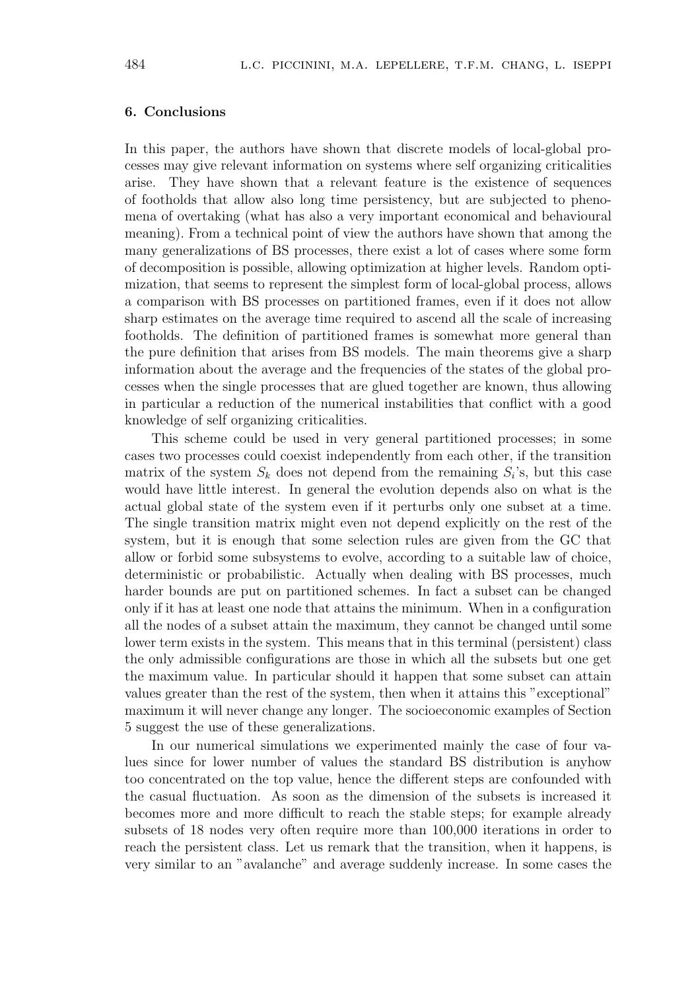# 6. Conclusions

In this paper, the authors have shown that discrete models of local-global processes may give relevant information on systems where self organizing criticalities arise. They have shown that a relevant feature is the existence of sequences of footholds that allow also long time persistency, but are subjected to phenomena of overtaking (what has also a very important economical and behavioural meaning). From a technical point of view the authors have shown that among the many generalizations of BS processes, there exist a lot of cases where some form of decomposition is possible, allowing optimization at higher levels. Random optimization, that seems to represent the simplest form of local-global process, allows a comparison with BS processes on partitioned frames, even if it does not allow sharp estimates on the average time required to ascend all the scale of increasing footholds. The definition of partitioned frames is somewhat more general than the pure definition that arises from BS models. The main theorems give a sharp information about the average and the frequencies of the states of the global processes when the single processes that are glued together are known, thus allowing in particular a reduction of the numerical instabilities that conflict with a good knowledge of self organizing criticalities.

This scheme could be used in very general partitioned processes; in some cases two processes could coexist independently from each other, if the transition matrix of the system  $S_k$  does not depend from the remaining  $S_i$ 's, but this case would have little interest. In general the evolution depends also on what is the actual global state of the system even if it perturbs only one subset at a time. The single transition matrix might even not depend explicitly on the rest of the system, but it is enough that some selection rules are given from the GC that allow or forbid some subsystems to evolve, according to a suitable law of choice, deterministic or probabilistic. Actually when dealing with BS processes, much harder bounds are put on partitioned schemes. In fact a subset can be changed only if it has at least one node that attains the minimum. When in a configuration all the nodes of a subset attain the maximum, they cannot be changed until some lower term exists in the system. This means that in this terminal (persistent) class the only admissible configurations are those in which all the subsets but one get the maximum value. In particular should it happen that some subset can attain values greater than the rest of the system, then when it attains this "exceptional" maximum it will never change any longer. The socioeconomic examples of Section 5 suggest the use of these generalizations.

In our numerical simulations we experimented mainly the case of four values since for lower number of values the standard BS distribution is anyhow too concentrated on the top value, hence the different steps are confounded with the casual fluctuation. As soon as the dimension of the subsets is increased it becomes more and more difficult to reach the stable steps; for example already subsets of 18 nodes very often require more than 100,000 iterations in order to reach the persistent class. Let us remark that the transition, when it happens, is very similar to an "avalanche" and average suddenly increase. In some cases the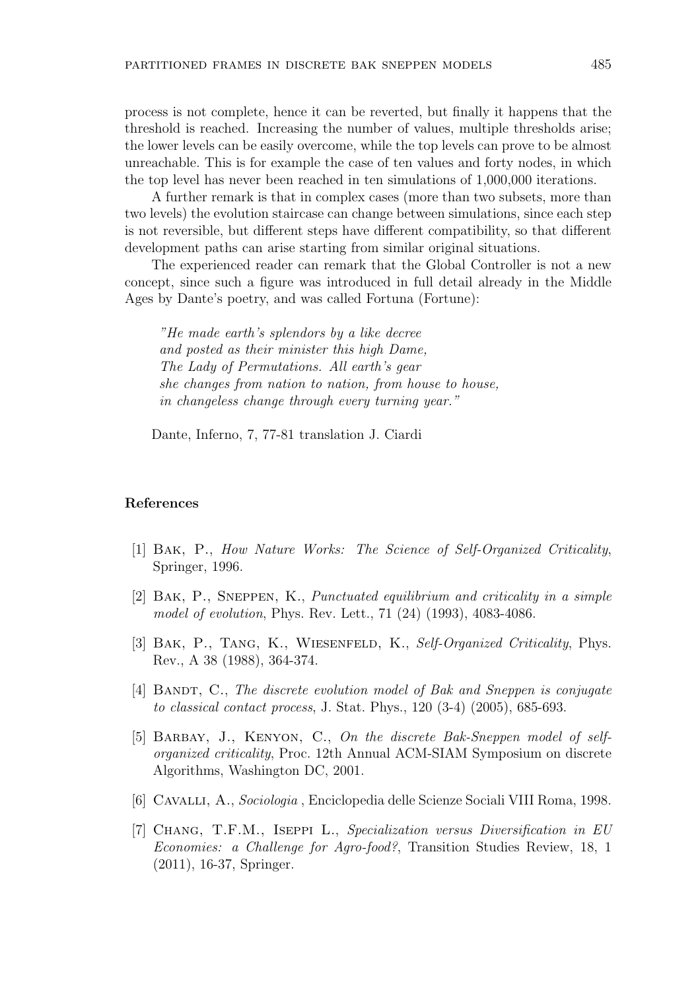process is not complete, hence it can be reverted, but finally it happens that the threshold is reached. Increasing the number of values, multiple thresholds arise; the lower levels can be easily overcome, while the top levels can prove to be almost unreachable. This is for example the case of ten values and forty nodes, in which the top level has never been reached in ten simulations of 1,000,000 iterations.

A further remark is that in complex cases (more than two subsets, more than two levels) the evolution staircase can change between simulations, since each step is not reversible, but different steps have different compatibility, so that different development paths can arise starting from similar original situations.

The experienced reader can remark that the Global Controller is not a new concept, since such a figure was introduced in full detail already in the Middle Ages by Dante's poetry, and was called Fortuna (Fortune):

"He made earth's splendors by a like decree and posted as their minister this high Dame, The Lady of Permutations. All earth's gear she changes from nation to nation, from house to house, in changeless change through every turning year."

Dante, Inferno, 7, 77-81 translation J. Ciardi

# References

- [1] Bak, P., How Nature Works: The Science of Self-Organized Criticality, Springer, 1996.
- [2] Bak, P., Sneppen, K., Punctuated equilibrium and criticality in a simple model of evolution, Phys. Rev. Lett., 71 (24) (1993), 4083-4086.
- [3] BAK, P., TANG, K., WIESENFELD, K., Self-Organized Criticality, Phys. Rev., A 38 (1988), 364-374.
- [4] BANDT, C., The discrete evolution model of Bak and Sneppen is conjugate to classical contact process, J. Stat. Phys., 120 (3-4) (2005), 685-693.
- [5] BARBAY, J., KENYON, C., On the discrete Bak-Sneppen model of selforganized criticality, Proc. 12th Annual ACM-SIAM Symposium on discrete Algorithms, Washington DC, 2001.
- [6] Cavalli, A., Sociologia , Enciclopedia delle Scienze Sociali VIII Roma, 1998.
- [7] Chang, T.F.M., Iseppi L., Specialization versus Diversification in EU Economies: a Challenge for Agro-food?, Transition Studies Review, 18, 1 (2011), 16-37, Springer.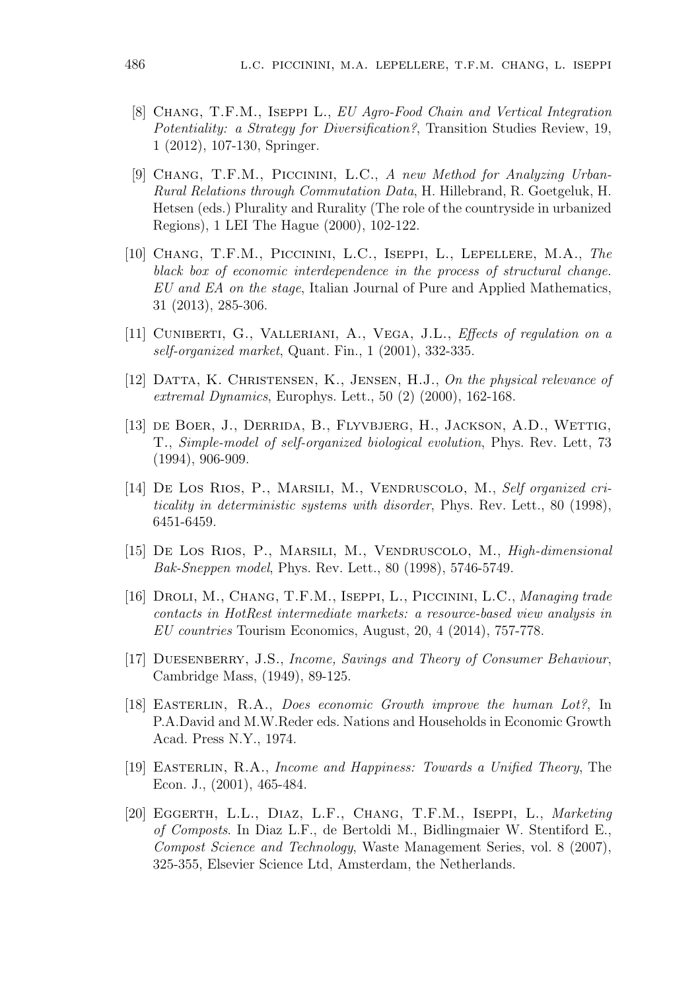- [8] CHANG, T.F.M., ISEPPI L., EU Agro-Food Chain and Vertical Integration Potentiality: a Strategy for Diversification?, Transition Studies Review, 19, 1 (2012), 107-130, Springer.
- [9] Chang, T.F.M., Piccinini, L.C., A new Method for Analyzing Urban-Rural Relations through Commutation Data, H. Hillebrand, R. Goetgeluk, H. Hetsen (eds.) Plurality and Rurality (The role of the countryside in urbanized Regions), 1 LEI The Hague (2000), 102-122.
- [10] Chang, T.F.M., Piccinini, L.C., Iseppi, L., Lepellere, M.A., The black box of economic interdependence in the process of structural change. EU and EA on the stage, Italian Journal of Pure and Applied Mathematics, 31 (2013), 285-306.
- [11] CUNIBERTI, G., VALLERIANI, A., VEGA, J.L., *Effects of regulation on a* self-organized market, Quant. Fin., 1 (2001), 332-335.
- [12] DATTA, K. CHRISTENSEN, K., JENSEN, H.J., On the physical relevance of extremal Dynamics, Europhys. Lett., 50 (2) (2000), 162-168.
- [13] de Boer, J., Derrida, B., Flyvbjerg, H., Jackson, A.D., Wettig, T., Simple-model of self-organized biological evolution, Phys. Rev. Lett, 73 (1994), 906-909.
- [14] DE LOS RIOS, P., MARSILI, M., VENDRUSCOLO, M., Self organized criticality in deterministic systems with disorder, Phys. Rev. Lett., 80 (1998), 6451-6459.
- [15] De Los Rios, P., Marsili, M., Vendruscolo, M., High-dimensional Bak-Sneppen model, Phys. Rev. Lett., 80 (1998), 5746-5749.
- [16] DROLI, M., CHANG, T.F.M., ISEPPI, L., PICCININI, L.C., Managing trade contacts in HotRest intermediate markets: a resource-based view analysis in EU countries Tourism Economics, August, 20, 4 (2014), 757-778.
- [17] DUESENBERRY, J.S., Income, Savings and Theory of Consumer Behaviour, Cambridge Mass, (1949), 89-125.
- [18] Easterlin, R.A., Does economic Growth improve the human Lot?, In P.A.David and M.W.Reder eds. Nations and Households in Economic Growth Acad. Press N.Y., 1974.
- [19] Easterlin, R.A., Income and Happiness: Towards a Unified Theory, The Econ. J., (2001), 465-484.
- [20] EGGERTH, L.L., DIAZ, L.F., CHANG, T.F.M., ISEPPI, L., Marketing of Composts. In Diaz L.F., de Bertoldi M., Bidlingmaier W. Stentiford E., Compost Science and Technology, Waste Management Series, vol. 8 (2007), 325-355, Elsevier Science Ltd, Amsterdam, the Netherlands.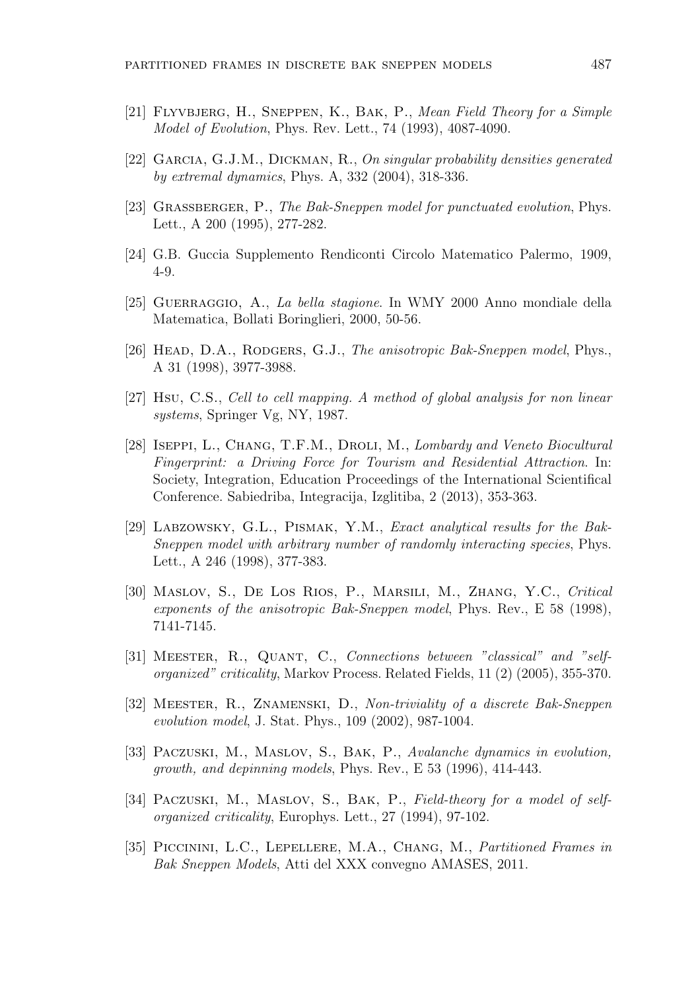- [21] Flyvbjerg, H., Sneppen, K., Bak, P., Mean Field Theory for a Simple Model of Evolution, Phys. Rev. Lett., 74 (1993), 4087-4090.
- [22] Garcia, G.J.M., Dickman, R., On singular probability densities generated by extremal dynamics, Phys. A, 332 (2004), 318-336.
- [23] GRASSBERGER, P., The Bak-Sneppen model for punctuated evolution, Phys. Lett., A 200 (1995), 277-282.
- [24] G.B. Guccia Supplemento Rendiconti Circolo Matematico Palermo, 1909, 4-9.
- [25] Guerraggio, A., La bella stagione. In WMY 2000 Anno mondiale della Matematica, Bollati Boringlieri, 2000, 50-56.
- [26] HEAD, D.A., RODGERS, G.J., The anisotropic Bak-Sneppen model, Phys., A 31 (1998), 3977-3988.
- [27] Hsu, C.S., Cell to cell mapping. A method of global analysis for non linear systems, Springer Vg, NY, 1987.
- [28] ISEPPI, L., CHANG, T.F.M., DROLI, M., Lombardy and Veneto Biocultural Fingerprint: a Driving Force for Tourism and Residential Attraction. In: Society, Integration, Education Proceedings of the International Scientifical Conference. Sabiedriba, Integracija, Izglitiba, 2 (2013), 353-363.
- [29] LABZOWSKY, G.L., PISMAK, Y.M., Exact analytical results for the Bak-Sneppen model with arbitrary number of randomly interacting species, Phys. Lett., A 246 (1998), 377-383.
- [30] Maslov, S., De Los Rios, P., Marsili, M., Zhang, Y.C., Critical exponents of the anisotropic Bak-Sneppen model, Phys. Rev., E 58 (1998), 7141-7145.
- [31] Meester, R., Quant, C., Connections between "classical" and "selforganized" criticality, Markov Process. Related Fields, 11 (2) (2005), 355-370.
- [32] MEESTER, R., ZNAMENSKI, D., Non-triviality of a discrete Bak-Sneppen evolution model, J. Stat. Phys., 109 (2002), 987-1004.
- [33] PACZUSKI, M., MASLOV, S., BAK, P., Avalanche dynamics in evolution, growth, and depinning models, Phys. Rev., E 53 (1996), 414-443.
- [34] PACZUSKI, M., MASLOV, S., BAK, P., Field-theory for a model of selforganized criticality, Europhys. Lett., 27 (1994), 97-102.
- [35] Piccinini, L.C., Lepellere, M.A., Chang, M., Partitioned Frames in Bak Sneppen Models, Atti del XXX convegno AMASES, 2011.